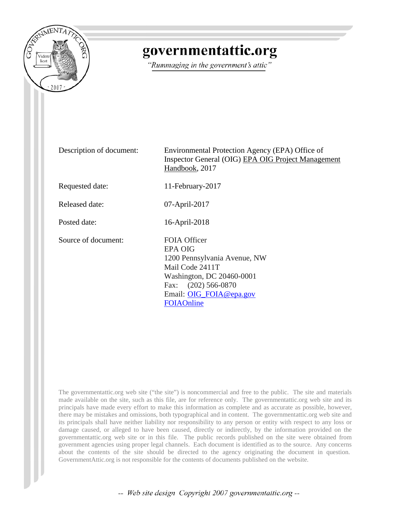

# governmentattic.org

"Rummaging in the government's attic"

Description of document: Environmental Protection Agency (EPA) Office of Inspector General (OIG) EPA OIG Project Management Handbook, 2017 Requested date: 11-February-2017 Released date: 07-April-2017 Posted date: 16-April-2018 Source of document: FOIA Officer EPA OIG 1200 Pennsylvania Avenue, NW Mail Code 2411T Washington, DC 20460-0001 Fax: (202) 566-0870 Email: [OIG\\_FOIA@epa.gov](mailto:oig_foia@epa.gov) [FOIAOnline](https://foiaonline.regulations.gov/foia/action/public/home)

The governmentattic.org web site ("the site") is noncommercial and free to the public. The site and materials made available on the site, such as this file, are for reference only. The governmentattic.org web site and its principals have made every effort to make this information as complete and as accurate as possible, however, there may be mistakes and omissions, both typographical and in content. The governmentattic.org web site and its principals shall have neither liability nor responsibility to any person or entity with respect to any loss or damage caused, or alleged to have been caused, directly or indirectly, by the information provided on the governmentattic.org web site or in this file. The public records published on the site were obtained from government agencies using proper legal channels. Each document is identified as to the source. Any concerns about the contents of the site should be directed to the agency originating the document in question. GovernmentAttic.org is not responsible for the contents of documents published on the website.

-- Web site design Copyright 2007 governmentattic.org --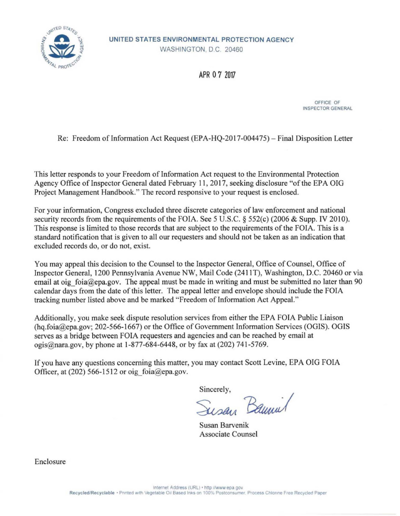

**UNITED STATES ENVIRONMENTAL PROTECTION AGENCY** 

WASHINGTON, D.C. 20460

APR O 7 <sup>2017</sup>

OFFICE OF INSPECTOR GENERAL

Re: Freedom of Information Act Request (EPA-HQ-2017-004475) - Final Disposition Letter

This letter responds to your Freedom of Information Act request to the Environmental Protection Agency Office of Inspector General dated February 11, 2017, seeking disclosure "of the EPA OIG Project Management Handbook." The record responsive to your request is enclosed.

For your information, Congress excluded three discrete categories of law enforcement and national security records from the requirements of the FOIA. See 5 U.S.C. § 552(c) (2006 & Supp. IV 2010). This response is limited to those records that are subject to the requirements of the FOIA. This is a standard notification that is given to all our requesters and should not be taken as an indication that excluded records do, or do not, exist.

You may appeal this decision to the Counsel to the Inspector General, Office of Counsel, Office of Inspector General, 1200 Pennsylvania Avenue NW, Mail Code (2411T), Washington, D.C. 20460 or via email at oig foia@epa.gov. The appeal must be made in writing and must be submitted no later than 90 calendar days from the date of this letter. The appeal letter and envelope should include the FOIA tracking number listed above and be marked "Freedom of Information Act Appeal."

Additionally, you make seek dispute resolution services from either the EPA FOIA Public Liaison (hq.foia@epa.gov; 202-566-1667) or the Office of Government Information Services (OGIS). OGIS serves as a bridge between FOIA requesters and agencies and can be reached by email at ogis@nara.gov, by phone at 1-877-684-6448, or by fax at (202) 741-5769.

If you have any questions concerning this matter, you may contact Scott Levine, EPA OIG FOIA Officer, at (202) 566-1512 or oig foia@epa.gov.

Sincerely,

~~ Susan Barvenik

Associate Counsel

Enclosure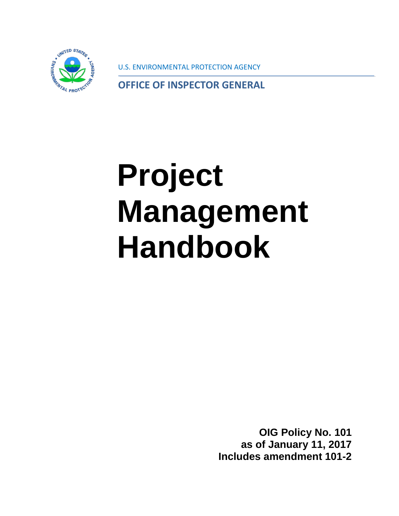

U.S. ENVIRONMENTAL PROTECTION AGENCY

**OFFICE OF INSPECTOR GENERAL**

# **Project Management Handbook**

**OIG Policy No. 101 as of January 11, 2017 Includes amendment 101-2**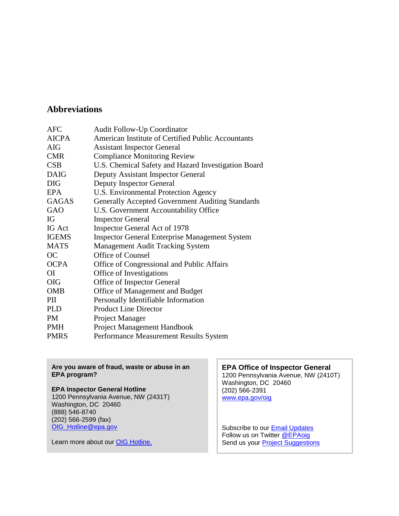#### **Abbreviations**

| <b>Audit Follow-Up Coordinator</b>                      |
|---------------------------------------------------------|
| American Institute of Certified Public Accountants      |
| <b>Assistant Inspector General</b>                      |
| <b>Compliance Monitoring Review</b>                     |
| U.S. Chemical Safety and Hazard Investigation Board     |
| Deputy Assistant Inspector General                      |
| <b>Deputy Inspector General</b>                         |
| U.S. Environmental Protection Agency                    |
| <b>Generally Accepted Government Auditing Standards</b> |
| U.S. Government Accountability Office                   |
| <b>Inspector General</b>                                |
| <b>Inspector General Act of 1978</b>                    |
| <b>Inspector General Enterprise Management System</b>   |
| <b>Management Audit Tracking System</b>                 |
| Office of Counsel                                       |
| Office of Congressional and Public Affairs              |
| Office of Investigations                                |
| Office of Inspector General                             |
| Office of Management and Budget                         |
| Personally Identifiable Information                     |
| <b>Product Line Director</b>                            |
| Project Manager                                         |
| Project Management Handbook                             |
| Performance Measurement Results System                  |
|                                                         |

#### **Are you aware of fraud, waste or abuse in an EPA program?**

#### **EPA Inspector General Hotline**

1200 Pennsylvania Avenue, NW (2431T) Washington, DC 20460 (888) 546-8740 (202) 566-2599 (fax) [OIG\\_Hotline@epa.gov](mailto:OIG_Hotline@epa.gov)

Learn more about our **OIG Hotline.** 

#### **EPA Office of Inspector General** 1200 Pennsylvania Avenue, NW (2410T) Washington, DC 20460 (202) 566-2391 [www.epa.gov/oig](http://go.usa.gov/mgUQ)

Subscribe to our **Email Updates** Follow us on Twitter **@EPAoig** Send us your **Project Suggestions**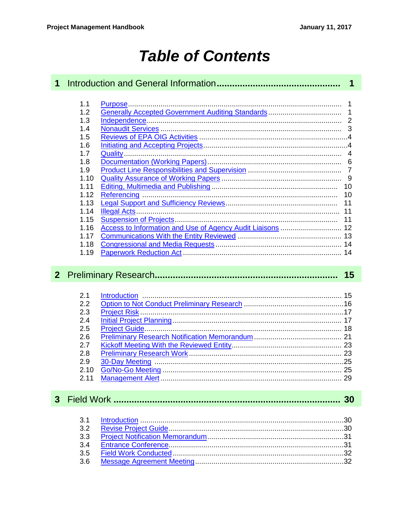# **Table of Contents**

| $\mathbf 1$    |                                                                                                                                             | $\overline{\mathbf{1}}$                                    |  |
|----------------|---------------------------------------------------------------------------------------------------------------------------------------------|------------------------------------------------------------|--|
|                | 1.1<br>1.2<br>1.3<br>1.4<br>1.5<br>1.6<br>1.7<br>1.8<br>1.9<br>1.10<br>1.11<br>1.12<br>1.13<br>1.14<br>1.15<br>1.16<br>1.17<br>1.18<br>1.19 | Access to Information and Use of Agency Audit Liaisons  12 |  |
| 2 <sup>1</sup> |                                                                                                                                             | 15                                                         |  |
|                | 2.1<br>2.2<br>2.3<br>2.4<br>2.5<br>2.6<br>2.7<br>2.8<br>2.9<br>2.10<br>2.11                                                                 |                                                            |  |
| 3 <sup>1</sup> |                                                                                                                                             |                                                            |  |
|                | 3.1<br>3.2<br>3.3<br>3.4<br>3.5<br>3.6                                                                                                      |                                                            |  |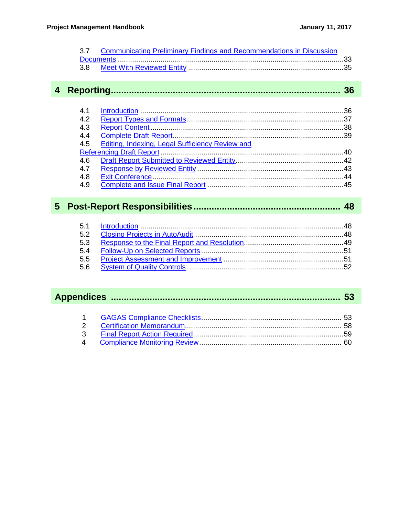| 3.7 Communicating Preliminary Findings and Recommendations in Discussion |  |
|--------------------------------------------------------------------------|--|
|                                                                          |  |
|                                                                          |  |
|                                                                          |  |
|                                                                          |  |

## 

| 4.2 |                                                     |  |
|-----|-----------------------------------------------------|--|
| 4.3 |                                                     |  |
| 4.4 |                                                     |  |
|     | 4.5 Editing, Indexing, Legal Sufficiency Review and |  |
|     |                                                     |  |
| 4.6 |                                                     |  |
| 4.7 |                                                     |  |
| 4.8 |                                                     |  |
| 4.9 |                                                     |  |

## 

| 5.3 |  |
|-----|--|
|     |  |
|     |  |
|     |  |

#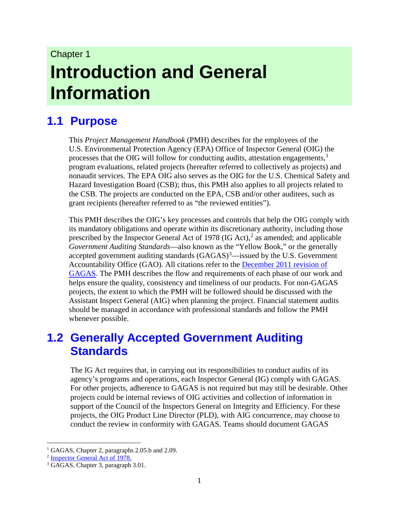# Chapter 1 **Introduction and General Information**

## <span id="page-6-0"></span>**1.1 Purpose**

This *Project Management Handbook* (PMH) describes for the employees of the U.S. Environmental Protection Agency (EPA) Office of Inspector General (OIG) the processes that the OIG will follow for conducting audits, attestation engagements,<sup>[1](#page-6-2)</sup> program evaluations, related projects (hereafter referred to collectively as projects) and nonaudit services. The EPA OIG also serves as the OIG for the U.S. Chemical Safety and Hazard Investigation Board (CSB); thus, this PMH also applies to all projects related to the CSB. The projects are conducted on the EPA, CSB and/or other auditees, such as grant recipients (hereafter referred to as "the reviewed entities").

This PMH describes the OIG's key processes and controls that help the OIG comply with its mandatory obligations and operate within its discretionary authority, including those prescribed by the Inspector General Act of 1978 (IG Act), $^2$  $^2$  as amended; and applicable *Government Auditing Standards*—also known as the "Yellow Book," or the generally accepted government auditing standards  $(GAGAS)^3$  $(GAGAS)^3$ —issued by the U.S. Government Accountability Office (GAO). All citations refer to the December [2011 revision](http://www.gao.gov/assets/590/587281.pdf.) of [GAGAS.](http://www.gao.gov/assets/590/587281.pdf.) The PMH describes the flow and requirements of each phase of our work and helps ensure the quality, consistency and timeliness of our products. For non-GAGAS projects, the extent to which the PMH will be followed should be discussed with the Assistant Inspect General (AIG) when planning the project. Financial statement audits should be managed in accordance with professional standards and follow the PMH whenever possible.

### <span id="page-6-1"></span>**1.2 Generally Accepted Government Auditing Standards**

The IG Act requires that, in carrying out its responsibilities to conduct audits of its agency's programs and operations, each Inspector General (IG) comply with GAGAS. For other projects, adherence to GAGAS is not required but may still be desirable. Other projects could be internal reviews of OIG activities and collection of information in support of the Council of the Inspectors General on Integrity and Efficiency. For these projects, the OIG Product Line Director (PLD), with AIG concurrence, may choose to conduct the review in conformity with GAGAS. Teams should document GAGAS

<span id="page-6-2"></span><sup>&</sup>lt;sup>1</sup> GAGAS, Chapter 2, paragraphs 2.05.b and 2.09.

<span id="page-6-3"></span><sup>2</sup> [Inspector General Act of 1978.](http://www.ignet.gov/index.html.)

<span id="page-6-4"></span><sup>3</sup> GAGAS, Chapter 3, paragraph 3.01.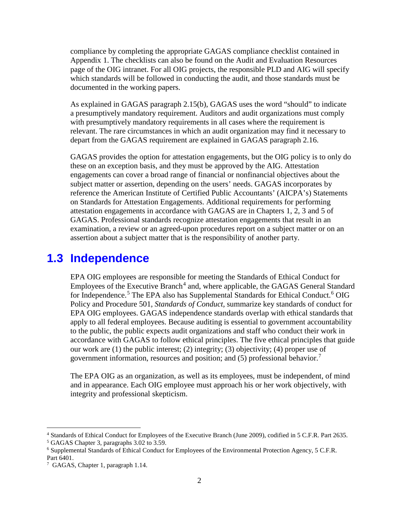compliance by completing the appropriate GAGAS compliance checklist contained in Appendix 1. The checklists can also be found on the Audit and Evaluation Resources page of the OIG intranet. For all OIG projects, the responsible PLD and AIG will specify which standards will be followed in conducting the audit, and those standards must be documented in the working papers.

As explained in GAGAS paragraph 2.15(b), GAGAS uses the word "should" to indicate a presumptively mandatory requirement. Auditors and audit organizations must comply with presumptively mandatory requirements in all cases where the requirement is relevant. The rare circumstances in which an audit organization may find it necessary to depart from the GAGAS requirement are explained in GAGAS paragraph 2.16.

GAGAS provides the option for attestation engagements, but the OIG policy is to only do these on an exception basis, and they must be approved by the AIG. Attestation engagements can cover a broad range of financial or nonfinancial objectives about the subject matter or assertion, depending on the users' needs. GAGAS incorporates by reference the American Institute of Certified Public Accountants' (AICPA's) Statements on Standards for Attestation Engagements. Additional requirements for performing attestation engagements in accordance with GAGAS are in Chapters 1, 2, 3 and 5 of GAGAS. Professional standards recognize attestation engagements that result in an examination, a review or an agreed-upon procedures report on a subject matter or on an assertion about a subject matter that is the responsibility of another party.

#### <span id="page-7-0"></span>**1.3 Independence**

EPA OIG employees are responsible for meeting the Standards of Ethical Conduct for Employees of the Executive Branch<sup>[4](#page-7-1)</sup> and, where applicable, the GAGAS General Standard for Independence.<sup>[5](#page-7-2)</sup> The EPA also has Supplemental Standards for Ethical Conduct.<sup>[6](#page-7-3)</sup> OIG Policy and Procedure 501, *Standards of Conduct,* summarize key standards of conduct for EPA OIG employees. GAGAS independence standards overlap with ethical standards that apply to all federal employees. Because auditing is essential to government accountability to the public, the public expects audit organizations and staff who conduct their work in accordance with GAGAS to follow ethical principles. The five ethical principles that guide our work are (1) the public interest; (2) integrity; (3) objectivity; (4) proper use of government information, resources and position; and (5) professional behavior.[7](#page-7-4)

The EPA OIG as an organization, as well as its employees, must be independent, of mind and in appearance. Each OIG employee must approach his or her work objectively, with integrity and professional skepticism.

<span id="page-7-1"></span> <sup>4</sup> Standards of Ethical Conduct for Employees of the Executive Branch (June 2009), codified in 5 C.F.R. Part 2635.

<span id="page-7-2"></span><sup>5</sup> GAGAS Chapter 3, paragraphs 3.02 to 3.59.

<span id="page-7-3"></span><sup>6</sup> Supplemental Standards of Ethical Conduct for Employees of the Environmental Protection Agency, 5 C.F.R. Part 6401.

<span id="page-7-4"></span><sup>7</sup> GAGAS, Chapter 1, paragraph 1.14.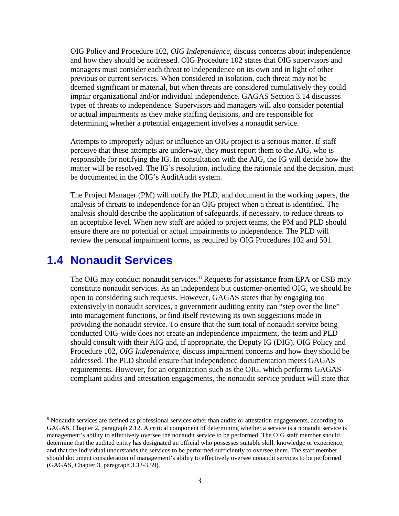OIG Policy and Procedure 102, *OIG Independence*, discuss concerns about independence and how they should be addressed. OIG Procedure 102 states that OIG supervisors and managers must consider each threat to independence on its own and in light of other previous or current services. When considered in isolation, each threat may not be deemed significant or material, but when threats are considered cumulatively they could impair organizational and/or individual independence. GAGAS Section 3.14 discusses types of threats to independence. Supervisors and managers will also consider potential or actual impairments as they make staffing decisions, and are responsible for determining whether a potential engagement involves a nonaudit service.

Attempts to improperly adjust or influence an OIG project is a serious matter. If staff perceive that these attempts are underway, they must report them to the AIG, who is responsible for notifying the IG. In consultation with the AIG, the IG will decide how the matter will be resolved. The IG's resolution, including the rationale and the decision, must be documented in the OIG's AuditAudit system.

The Project Manager (PM) will notify the PLD, and document in the working papers, the analysis of threats to independence for an OIG project when a threat is identified. The analysis should describe the application of safeguards, if necessary, to reduce threats to an acceptable level. When new staff are added to project teams, the PM and PLD should ensure there are no potential or actual impairments to independence. The PLD will review the personal impairment forms, as required by OIG Procedures 102 and 501.

#### <span id="page-8-0"></span>**1.4 Nonaudit Services**

The OIG may conduct nonaudit services.<sup>[8](#page-8-1)</sup> Requests for assistance from EPA or CSB may constitute nonaudit services. As an independent but customer-oriented OIG, we should be open to considering such requests. However, GAGAS states that by engaging too extensively in nonaudit services, a government auditing entity can "step over the line" into management functions, or find itself reviewing its own suggestions made in providing the nonaudit service. To ensure that the sum total of nonaudit service being conducted OIG-wide does not create an independence impairment, the team and PLD should consult with their AIG and, if appropriate, the Deputy IG (DIG). OIG Policy and Procedure 102, *OIG Independence*, discuss impairment concerns and how they should be addressed. The PLD should ensure that independence documentation meets GAGAS requirements. However, for an organization such as the OIG, which performs GAGAScompliant audits and attestation engagements, the nonaudit service product will state that

<span id="page-8-1"></span> <sup>8</sup> Nonaudit services are defined as professional services other than audits or attestation engagements, according to GAGAS, Chapter 2, paragraph 2.12. A critical component of determining whether a service is a nonaudit service is management's ability to effectively oversee the nonaudit service to be performed. The OIG staff member should determine that the audited entity has designated an official who possesses suitable skill, knowledge or experience; and that the individual understands the services to be performed sufficiently to oversee them. The staff member should document consideration of management's ability to effectively oversee nonaudit services to be performed (GAGAS, Chapter 3, paragraph 3.33-3.59).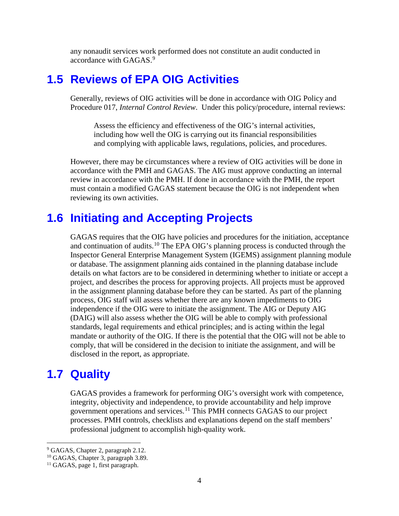any nonaudit services work performed does not constitute an audit conducted in accordance with GAGAS.<sup>[9](#page-9-3)</sup>

#### <span id="page-9-0"></span>**1.5 Reviews of EPA OIG Activities**

Generally, reviews of OIG activities will be done in accordance with OIG Policy and Procedure 017, *Internal Control Review*. Under this policy/procedure, internal reviews:

Assess the efficiency and effectiveness of the OIG's internal activities, including how well the OIG is carrying out its financial responsibilities and complying with applicable laws, regulations, policies, and procedures.

However, there may be circumstances where a review of OIG activities will be done in accordance with the PMH and GAGAS. The AIG must approve conducting an internal review in accordance with the PMH. If done in accordance with the PMH, the report must contain a modified GAGAS statement because the OIG is not independent when reviewing its own activities.

### <span id="page-9-1"></span>**1.6 Initiating and Accepting Projects**

GAGAS requires that the OIG have policies and procedures for the initiation, acceptance and continuation of audits.<sup>[10](#page-9-4)</sup> The EPA OIG's planning process is conducted through the Inspector General Enterprise Management System (IGEMS) assignment planning module or database. The assignment planning aids contained in the planning database include details on what factors are to be considered in determining whether to initiate or accept a project, and describes the process for approving projects. All projects must be approved in the assignment planning database before they can be started. As part of the planning process, OIG staff will assess whether there are any known impediments to OIG independence if the OIG were to initiate the assignment. The AIG or Deputy AIG (DAIG) will also assess whether the OIG will be able to comply with professional standards, legal requirements and ethical principles; and is acting within the legal mandate or authority of the OIG. If there is the potential that the OIG will not be able to comply, that will be considered in the decision to initiate the assignment, and will be disclosed in the report, as appropriate.

### <span id="page-9-2"></span>**1.7 Quality**

GAGAS provides a framework for performing OIG's oversight work with competence, integrity, objectivity and independence, to provide accountability and help improve government operations and services.[11](#page-9-5) This PMH connects GAGAS to our project processes. PMH controls, checklists and explanations depend on the staff members' professional judgment to accomplish high-quality work.

<span id="page-9-3"></span><sup>&</sup>lt;sup>9</sup> GAGAS, Chapter 2, paragraph 2.12.

<span id="page-9-4"></span><sup>&</sup>lt;sup>10</sup> GAGAS, Chapter 3, paragraph 3.89.

<span id="page-9-5"></span><sup>&</sup>lt;sup>11</sup> GAGAS, page 1, first paragraph.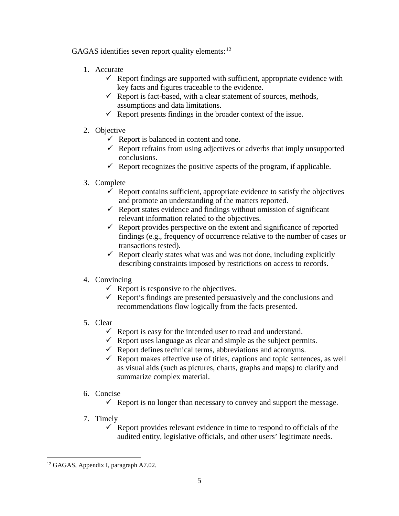GAGAS identifies seven report quality elements:<sup>[12](#page-10-0)</sup>

- 1. Accurate
	- $\checkmark$  Report findings are supported with sufficient, appropriate evidence with key facts and figures traceable to the evidence.
	- $\checkmark$  Report is fact-based, with a clear statement of sources, methods, assumptions and data limitations.
	- $\checkmark$  Report presents findings in the broader context of the issue.
- 2. Objective
	- $\checkmark$  Report is balanced in content and tone.
	- $\checkmark$  Report refrains from using adjectives or adverbs that imply unsupported conclusions.
	- $\checkmark$  Report recognizes the positive aspects of the program, if applicable.
- 3. Complete
	- $\checkmark$  Report contains sufficient, appropriate evidence to satisfy the objectives and promote an understanding of the matters reported.
	- $\checkmark$  Report states evidence and findings without omission of significant relevant information related to the objectives.
	- $\checkmark$  Report provides perspective on the extent and significance of reported findings (e.g., frequency of occurrence relative to the number of cases or transactions tested).
	- $\checkmark$  Report clearly states what was and was not done, including explicitly describing constraints imposed by restrictions on access to records.
- 4. Convincing
	- Report is responsive to the objectives.
	- $\checkmark$  Report's findings are presented persuasively and the conclusions and recommendations flow logically from the facts presented.
- 5. Clear
	- $\checkmark$  Report is easy for the intended user to read and understand.
	- $\checkmark$  Report uses language as clear and simple as the subject permits.
	- $\checkmark$  Report defines technical terms, abbreviations and acronyms.
	- Report makes effective use of titles, captions and topic sentences, as well as visual aids (such as pictures, charts, graphs and maps) to clarify and summarize complex material.
- 6. Concise
	- Report is no longer than necessary to convey and support the message.
- 7. Timely
	- $\checkmark$  Report provides relevant evidence in time to respond to officials of the audited entity, legislative officials, and other users' legitimate needs.

<span id="page-10-0"></span> <sup>12</sup> GAGAS, Appendix I, paragraph A7.02.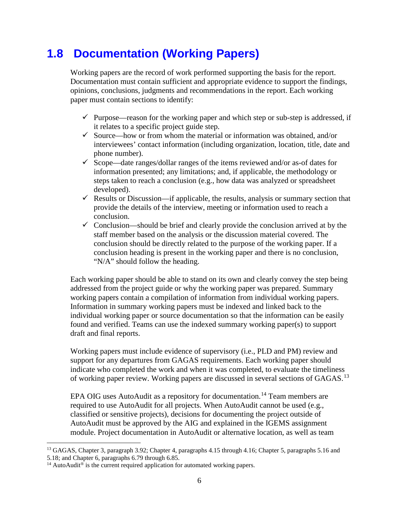## <span id="page-11-0"></span>**1.8 Documentation (Working Papers)**

Working papers are the record of work performed supporting the basis for the report. Documentation must contain sufficient and appropriate evidence to support the findings, opinions, conclusions, judgments and recommendations in the report. Each working paper must contain sections to identify:

- $\checkmark$  Purpose—reason for the working paper and which step or sub-step is addressed, if it relates to a specific project guide step.
- $\checkmark$  Source—how or from whom the material or information was obtained, and/or interviewees' contact information (including organization, location, title, date and phone number).
- $\checkmark$  Scope—date ranges/dollar ranges of the items reviewed and/or as-of dates for information presented; any limitations; and, if applicable, the methodology or steps taken to reach a conclusion (e.g., how data was analyzed or spreadsheet developed).
- Results or Discussion—if applicable, the results, analysis or summary section that provide the details of the interview, meeting or information used to reach a conclusion.
- $\checkmark$  Conclusion—should be brief and clearly provide the conclusion arrived at by the staff member based on the analysis or the discussion material covered. The conclusion should be directly related to the purpose of the working paper. If a conclusion heading is present in the working paper and there is no conclusion, "N/A" should follow the heading.

Each working paper should be able to stand on its own and clearly convey the step being addressed from the project guide or why the working paper was prepared. Summary working papers contain a compilation of information from individual working papers. Information in summary working papers must be indexed and linked back to the individual working paper or source documentation so that the information can be easily found and verified. Teams can use the indexed summary working paper(s) to support draft and final reports.

Working papers must include evidence of supervisory (i.e., PLD and PM) review and support for any departures from GAGAS requirements. Each working paper should indicate who completed the work and when it was completed, to evaluate the timeliness of working paper review. Working papers are discussed in several sections of GAGAS.<sup>[13](#page-11-1)</sup>

EPA OIG uses AutoAudit as a repository for documentation.<sup>[14](#page-11-2)</sup> Team members are required to use AutoAudit for all projects. When AutoAudit cannot be used (e.g., classified or sensitive projects), decisions for documenting the project outside of AutoAudit must be approved by the AIG and explained in the IGEMS assignment module. Project documentation in AutoAudit or alternative location, as well as team

<span id="page-11-1"></span><sup>&</sup>lt;sup>13</sup> GAGAS, Chapter 3, paragraph 3.92; Chapter 4, paragraphs 4.15 through 4.16; Chapter 5, paragraphs 5.16 and 5.18; and Chapter 6, paragraphs 6.79 through 6.85.

<span id="page-11-2"></span> $14$  AutoAudit<sup>®</sup> is the current required application for automated working papers.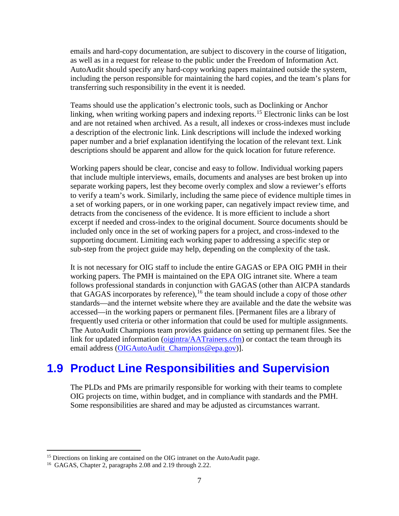emails and hard-copy documentation, are subject to discovery in the course of litigation, as well as in a request for release to the public under the Freedom of Information Act. AutoAudit should specify any hard-copy working papers maintained outside the system, including the person responsible for maintaining the hard copies, and the team's plans for transferring such responsibility in the event it is needed.

Teams should use the application's electronic tools, such as Doclinking or Anchor linking, when writing working papers and indexing reports.<sup>[15](#page-12-1)</sup> Electronic links can be lost and are not retained when archived. As a result, all indexes or cross-indexes must include a description of the electronic link. Link descriptions will include the indexed working paper number and a brief explanation identifying the location of the relevant text. Link descriptions should be apparent and allow for the quick location for future reference.

Working papers should be clear, concise and easy to follow. Individual working papers that include multiple interviews, emails, documents and analyses are best broken up into separate working papers, lest they become overly complex and slow a reviewer's efforts to verify a team's work. Similarly, including the same piece of evidence multiple times in a set of working papers, or in one working paper, can negatively impact review time, and detracts from the conciseness of the evidence. It is more efficient to include a short excerpt if needed and cross-index to the original document. Source documents should be included only once in the set of working papers for a project, and cross-indexed to the supporting document. Limiting each working paper to addressing a specific step or sub-step from the project guide may help, depending on the complexity of the task.

It is not necessary for OIG staff to include the entire GAGAS or EPA OIG PMH in their working papers. The PMH is maintained on the EPA OIG intranet site. Where a team follows professional standards in conjunction with GAGAS (other than AICPA standards that GAGAS incorporates by reference),<sup>[16](#page-12-2)</sup> the team should include a copy of those *other* standards—and the internet website where they are available and the date the website was accessed—in the working papers or permanent files. [Permanent files are a library of frequently used criteria or other information that could be used for multiple assignments. The AutoAudit Champions team provides guidance on setting up permanent files. See the link for updated information [\(oigintra/AATrainers.cfm\)](http://oigintra.epa.gov/new/JobTools/auto_audit.cfm) or contact the team through its email address [\(OIGAutoAudit\\_](mailto:OIGAutoAudit)[Champions@epa.gov\)](mailto:Champions@epa.gov)].

#### <span id="page-12-0"></span>**1.9 Product Line Responsibilities and Supervision**

The PLDs and PMs are primarily responsible for working with their teams to complete OIG projects on time, within budget, and in compliance with standards and the PMH. Some responsibilities are shared and may be adjusted as circumstances warrant.

<span id="page-12-1"></span> $15$  Directions on linking are contained on the OIG intranet on the AutoAudit page.

<span id="page-12-2"></span><sup>16</sup> GAGAS, Chapter 2, paragraphs 2.08 and 2.19 through 2.22.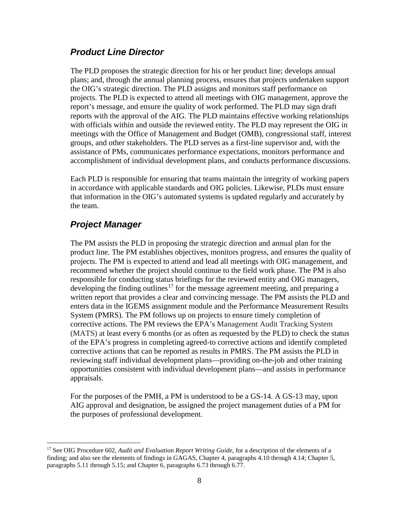#### *Product Line Director*

The PLD proposes the strategic direction for his or her product line; develops annual plans; and, through the annual planning process, ensures that projects undertaken support the OIG's strategic direction. The PLD assigns and monitors staff performance on projects. The PLD is expected to attend all meetings with OIG management, approve the report's message, and ensure the quality of work performed. The PLD may sign draft reports with the approval of the AIG. The PLD maintains effective working relationships with officials within and outside the reviewed entity. The PLD may represent the OIG in meetings with the Office of Management and Budget (OMB), congressional staff, interest groups, and other stakeholders. The PLD serves as a first-line supervisor and, with the assistance of PMs, communicates performance expectations, monitors performance and accomplishment of individual development plans, and conducts performance discussions.

Each PLD is responsible for ensuring that teams maintain the integrity of working papers in accordance with applicable standards and OIG policies. Likewise, PLDs must ensure that information in the OIG's automated systems is updated regularly and accurately by the team.

#### *Project Manager*

The PM assists the PLD in proposing the strategic direction and annual plan for the product line. The PM establishes objectives, monitors progress, and ensures the quality of projects. The PM is expected to attend and lead all meetings with OIG management, and recommend whether the project should continue to the field work phase. The PM is also responsible for conducting status briefings for the reviewed entity and OIG managers, developing the finding outlines<sup>[17](#page-13-0)</sup> for the message agreement meeting, and preparing a written report that provides a clear and convincing message. The PM assists the PLD and enters data in the IGEMS assignment module and the Performance Measurement Results System (PMRS). The PM follows up on projects to ensure timely completion of corrective actions. The PM reviews the EPA's Management Audit Tracking System (MATS) at least every 6 months (or as often as requested by the PLD) to check the status of the EPA's progress in completing agreed-to corrective actions and identify completed corrective actions that can be reported as results in PMRS. The PM assists the PLD in reviewing staff individual development plans—providing on-the-job and other training opportunities consistent with individual development plans—and assists in performance appraisals.

For the purposes of the PMH, a PM is understood to be a GS-14. A GS-13 may, upon AIG approval and designation, be assigned the project management duties of a PM for the purposes of professional development.

<span id="page-13-0"></span> <sup>17</sup> See OIG Procedure 602, *Audit and Evaluation Report Writing Guide*, for a description of the elements of a finding; and also see the elements of findings in GAGAS, Chapter 4, paragraphs 4.10 through 4.14; Chapter 5, paragraphs 5.11 through 5.15; and Chapter 6, paragraphs 6.73 through 6.77.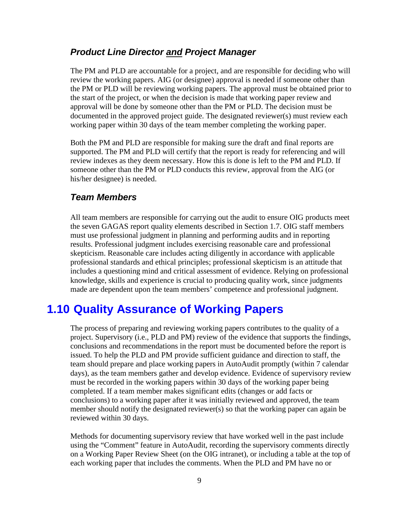#### *Product Line Director and Project Manager*

The PM and PLD are accountable for a project, and are responsible for deciding who will review the working papers. AIG (or designee) approval is needed if someone other than the PM or PLD will be reviewing working papers. The approval must be obtained prior to the start of the project, or when the decision is made that working paper review and approval will be done by someone other than the PM or PLD. The decision must be documented in the approved project guide. The designated reviewer(s) must review each working paper within 30 days of the team member completing the working paper.

Both the PM and PLD are responsible for making sure the draft and final reports are supported. The PM and PLD will certify that the report is ready for referencing and will review indexes as they deem necessary. How this is done is left to the PM and PLD. If someone other than the PM or PLD conducts this review, approval from the AIG (or his/her designee) is needed.

#### *Team Members*

All team members are responsible for carrying out the audit to ensure OIG products meet the seven GAGAS report quality elements described in Section 1.7. OIG staff members must use professional judgment in planning and performing audits and in reporting results. Professional judgment includes exercising reasonable care and professional skepticism. Reasonable care includes acting diligently in accordance with applicable professional standards and ethical principles; professional skepticism is an attitude that includes a questioning mind and critical assessment of evidence. Relying on professional knowledge, skills and experience is crucial to producing quality work, since judgments made are dependent upon the team members' competence and professional judgment.

#### <span id="page-14-0"></span>**1.10 Quality Assurance of Working Papers**

The process of preparing and reviewing working papers contributes to the quality of a project. Supervisory (i.e., PLD and PM) review of the evidence that supports the findings, conclusions and recommendations in the report must be documented before the report is issued. To help the PLD and PM provide sufficient guidance and direction to staff, the team should prepare and place working papers in AutoAudit promptly (within 7 calendar days), as the team members gather and develop evidence. Evidence of supervisory review must be recorded in the working papers within 30 days of the working paper being completed. If a team member makes significant edits (changes or add facts or conclusions) to a working paper after it was initially reviewed and approved, the team member should notify the designated reviewer(s) so that the working paper can again be reviewed within 30 days.

Methods for documenting supervisory review that have worked well in the past include using the "Comment" feature in AutoAudit, recording the supervisory comments directly on a Working Paper Review Sheet (on the OIG intranet), or including a table at the top of each working paper that includes the comments. When the PLD and PM have no or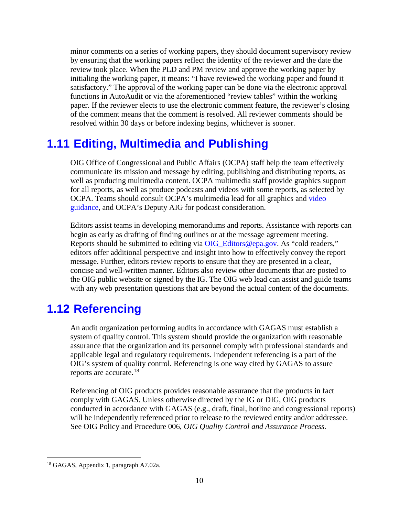minor comments on a series of working papers, they should document supervisory review by ensuring that the working papers reflect the identity of the reviewer and the date the review took place. When the PLD and PM review and approve the working paper by initialing the working paper, it means: "I have reviewed the working paper and found it satisfactory." The approval of the working paper can be done via the electronic approval functions in AutoAudit or via the aforementioned "review tables" within the working paper. If the reviewer elects to use the electronic comment feature, the reviewer's closing of the comment means that the comment is resolved. All reviewer comments should be resolved within 30 days or before indexing begins, whichever is sooner.

## <span id="page-15-0"></span>**1.11 Editing, Multimedia and Publishing**

OIG Office of Congressional and Public Affairs (OCPA) staff help the team effectively communicate its mission and message by editing, publishing and distributing reports, as well as producing multimedia content. OCPA multimedia staff provide graphics support for all reports, as well as produce podcasts and videos with some reports, as selected by OCPA. Teams should consult OCPA's multimedia lead for all graphics and [video](http://oigintra.epa.gov/new/Communications/multimedia.cfm#video_guidance)  [guidance,](http://oigintra.epa.gov/new/Communications/multimedia.cfm#video_guidance) and OCPA's Deputy AIG for podcast consideration.

Editors assist teams in developing memorandums and reports. Assistance with reports can begin as early as drafting of finding outlines or at the message agreement meeting. Reports should be submitted to editing via [OIG\\_Editors@epa.gov.](mailto:OIG_Editors@epa.gov) As "cold readers," editors offer additional perspective and insight into how to effectively convey the report message. Further, editors review reports to ensure that they are presented in a clear, concise and well-written manner. Editors also review other documents that are posted to the OIG public website or signed by the IG. The OIG web lead can assist and guide teams with any web presentation questions that are beyond the actual content of the documents.

### <span id="page-15-1"></span>**1.12 Referencing**

An audit organization performing audits in accordance with GAGAS must establish a system of quality control. This system should provide the organization with reasonable assurance that the organization and its personnel comply with professional standards and applicable legal and regulatory requirements. Independent referencing is a part of the OIG's system of quality control. Referencing is one way cited by GAGAS to assure reports are accurate.<sup>[18](#page-15-2)</sup>

Referencing of OIG products provides reasonable assurance that the products in fact comply with GAGAS. Unless otherwise directed by the IG or DIG, OIG products conducted in accordance with GAGAS (e.g., draft, final, hotline and congressional reports) will be independently referenced prior to release to the reviewed entity and/or addressee. See OIG Policy and Procedure 006, *OIG Quality Control and Assurance Process*.

<span id="page-15-2"></span> <sup>18</sup> GAGAS, Appendix 1, paragraph A7.02a.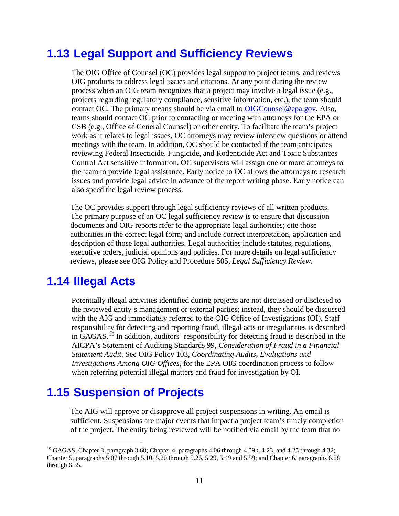## <span id="page-16-0"></span>**1.13 Legal Support and Sufficiency Reviews**

The OIG Office of Counsel (OC) provides legal support to project teams, and reviews OIG products to address legal issues and citations. At any point during the review process when an OIG team recognizes that a project may involve a legal issue (e.g., projects regarding regulatory compliance, sensitive information, etc.), the team should contact OC. The primary means should be via email to [OIGCounsel@epa.gov.](mailto:OIGCounsel@epa.gov) Also, teams should contact OC prior to contacting or meeting with attorneys for the EPA or CSB (e.g., Office of General Counsel) or other entity. To facilitate the team's project work as it relates to legal issues, OC attorneys may review interview questions or attend meetings with the team. In addition, OC should be contacted if the team anticipates reviewing Federal Insecticide, Fungicide, and Rodenticide Act and Toxic Substances Control Act sensitive information. OC supervisors will assign one or more attorneys to the team to provide legal assistance. Early notice to OC allows the attorneys to research issues and provide legal advice in advance of the report writing phase. Early notice can also speed the legal review process.

The OC provides support through legal sufficiency reviews of all written products. The primary purpose of an OC legal sufficiency review is to ensure that discussion documents and OIG reports refer to the appropriate legal authorities; cite those authorities in the correct legal form; and include correct interpretation, application and description of those legal authorities. Legal authorities include statutes, regulations, executive orders, judicial opinions and policies. For more details on legal sufficiency reviews, please see OIG Policy and Procedure 505, *Legal Sufficiency Review*.

#### <span id="page-16-1"></span>**1.14 Illegal Acts**

Potentially illegal activities identified during projects are not discussed or disclosed to the reviewed entity's management or external parties; instead, they should be discussed with the AIG and immediately referred to the OIG Office of Investigations (OI). Staff responsibility for detecting and reporting fraud, illegal acts or irregularities is described in GAGAS. [19](#page-16-3) In addition, auditors' responsibility for detecting fraud is described in the AICPA's Statement of Auditing Standards 99, *Consideration of Fraud in a Financial Statement Audit*. See OIG Policy 103, *Coordinating Audits, Evaluations and Investigations Among OIG Offices,* for the EPA OIG coordination process to follow when referring potential illegal matters and fraud for investigation by OI.

### <span id="page-16-2"></span>**1.15 Suspension of Projects**

The AIG will approve or disapprove all project suspensions in writing. An email is sufficient. Suspensions are major events that impact a project team's timely completion of the project. The entity being reviewed will be notified via email by the team that no

<span id="page-16-3"></span> <sup>19</sup> GAGAS, Chapter 3, paragraph 3.68; Chapter 4, paragraphs 4.06 through 4.09k, 4.23, and 4.25 through 4.32; Chapter 5, paragraphs 5.07 through 5.10, 5.20 through 5.26, 5.29, 5.49 and 5.59; and Chapter 6, paragraphs 6.28 through 6.35.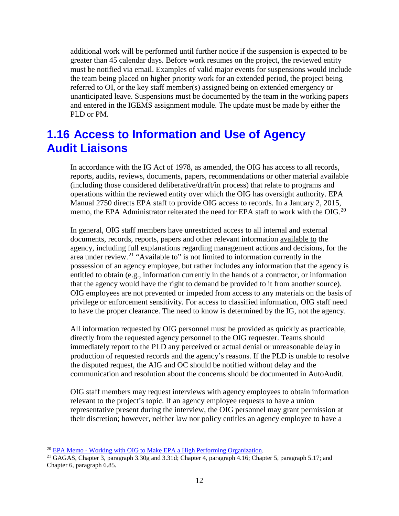additional work will be performed until further notice if the suspension is expected to be greater than 45 calendar days. Before work resumes on the project, the reviewed entity must be notified via email. Examples of valid major events for suspensions would include the team being placed on higher priority work for an extended period, the project being referred to OI, or the key staff member(s) assigned being on extended emergency or unanticipated leave. Suspensions must be documented by the team in the working papers and entered in the IGEMS assignment module. The update must be made by either the PLD or PM.

#### <span id="page-17-0"></span>**1.16 Access to Information and Use of Agency Audit Liaisons**

In accordance with the IG Act of 1978, as amended, the OIG has access to all records, reports, audits, reviews, documents, papers, recommendations or other material available (including those considered deliberative/draft/in process) that relate to programs and operations within the reviewed entity over which the OIG has oversight authority. EPA Manual 2750 directs EPA staff to provide OIG access to records. In a January 2, 2015, memo, the EPA Administrator reiterated the need for EPA staff to work with the OIG.[20](#page-17-1)

In general, OIG staff members have unrestricted access to all internal and external documents, records, reports, papers and other relevant information available to the agency, including full explanations regarding management actions and decisions, for the area under review.[21](#page-17-2) "Available to" is not limited to information currently in the possession of an agency employee, but rather includes any information that the agency is entitled to obtain (e.g., information currently in the hands of a contractor, or information that the agency would have the right to demand be provided to it from another source). OIG employees are not prevented or impeded from access to any materials on the basis of privilege or enforcement sensitivity. For access to classified information, OIG staff need to have the proper clearance. The need to know is determined by the IG, not the agency.

All information requested by OIG personnel must be provided as quickly as practicable, directly from the requested agency personnel to the OIG requester. Teams should immediately report to the PLD any perceived or actual denial or unreasonable delay in production of requested records and the agency's reasons. If the PLD is unable to resolve the disputed request, the AIG and OC should be notified without delay and the communication and resolution about the concerns should be documented in AutoAudit.

OIG staff members may request interviews with agency employees to obtain information relevant to the project's topic. If an agency employee requests to have a union representative present during the interview, the OIG personnel may grant permission at their discretion; however, neither law nor policy entitles an agency employee to have a

<span id="page-17-2"></span><span id="page-17-1"></span><sup>&</sup>lt;sup>20</sup> EPA Memo - [Working with OIG to Make EPA a High Performing Organization.](http://dchqdomino1.dcicc.epa.gov:9876/intranet/hqmailer.nsf/0/24a9c654a868cdeb85257dc500430d07?OpenDocument)<br><sup>21</sup> GAGAS, Chapter 3, paragraph 3.30g and 3.31d; Chapter 4, paragraph 4.16; Chapter 5, paragraph 5.17; and Chapter 6, paragraph 6.85.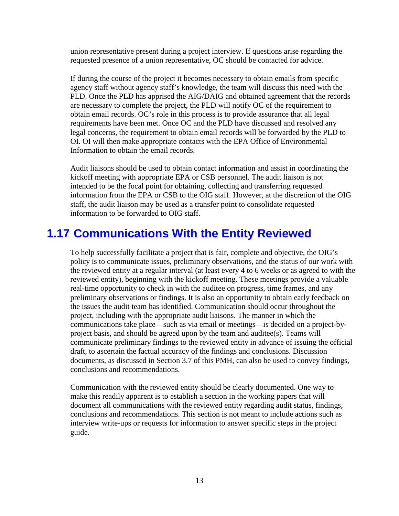union representative present during a project interview. If questions arise regarding the requested presence of a union representative, OC should be contacted for advice.

If during the course of the project it becomes necessary to obtain emails from specific agency staff without agency staff's knowledge, the team will discuss this need with the PLD. Once the PLD has apprised the AIG/DAIG and obtained agreement that the records are necessary to complete the project, the PLD will notify OC of the requirement to obtain email records. OC's role in this process is to provide assurance that all legal requirements have been met. Once OC and the PLD have discussed and resolved any legal concerns, the requirement to obtain email records will be forwarded by the PLD to OI. OI will then make appropriate contacts with the EPA Office of Environmental Information to obtain the email records.

Audit liaisons should be used to obtain contact information and assist in coordinating the kickoff meeting with appropriate EPA or CSB personnel. The audit liaison is not intended to be the focal point for obtaining, collecting and transferring requested information from the EPA or CSB to the OIG staff. However, at the discretion of the OIG staff, the audit liaison may be used as a transfer point to consolidate requested information to be forwarded to OIG staff.

#### <span id="page-18-0"></span>**1.17 Communications With the Entity Reviewed**

To help successfully facilitate a project that is fair, complete and objective, the OIG's policy is to communicate issues, preliminary observations, and the status of our work with the reviewed entity at a regular interval (at least every 4 to 6 weeks or as agreed to with the reviewed entity), beginning with the kickoff meeting. These meetings provide a valuable real-time opportunity to check in with the auditee on progress, time frames, and any preliminary observations or findings. It is also an opportunity to obtain early feedback on the issues the audit team has identified. Communication should occur throughout the project, including with the appropriate audit liaisons. The manner in which the communications take place—such as via email or meetings—is decided on a project-byproject basis, and should be agreed upon by the team and auditee(s). Teams will communicate preliminary findings to the reviewed entity in advance of issuing the official draft, to ascertain the factual accuracy of the findings and conclusions. Discussion documents, as discussed in Section 3.7 of this PMH, can also be used to convey findings, conclusions and recommendations.

Communication with the reviewed entity should be clearly documented. One way to make this readily apparent is to establish a section in the working papers that will document all communications with the reviewed entity regarding audit status, findings, conclusions and recommendations. This section is not meant to include actions such as interview write-ups or requests for information to answer specific steps in the project guide.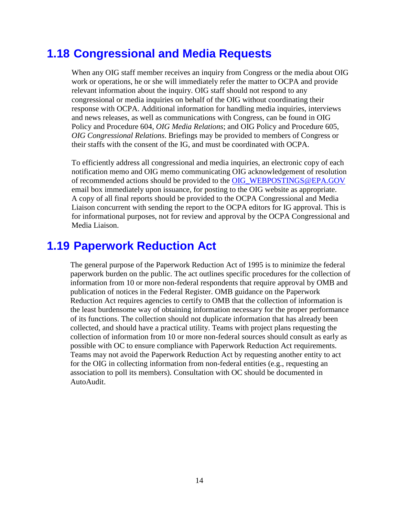#### <span id="page-19-0"></span>**1.18 Congressional and Media Requests**

When any OIG staff member receives an inquiry from Congress or the media about OIG work or operations, he or she will immediately refer the matter to OCPA and provide relevant information about the inquiry. OIG staff should not respond to any congressional or media inquiries on behalf of the OIG without coordinating their response with OCPA. Additional information for handling media inquiries, interviews and news releases, as well as communications with Congress, can be found in OIG Policy and Procedure 604, *OIG Media Relations*; and OIG Policy and Procedure 605, *OIG Congressional Relations*. Briefings may be provided to members of Congress or their staffs with the consent of the IG, and must be coordinated with OCPA.

To efficiently address all congressional and media inquiries, an electronic copy of each notification memo and OIG memo communicating OIG acknowledgement of resolution of recommended actions should be provided to the [OIG\\_WEBPOSTINGS@EPA.GOV](mailto:OIG_WEBPOSTINGS@EPA.GOV) email box immediately upon issuance, for posting to the OIG website as appropriate. A copy of all final reports should be provided to the OCPA Congressional and Media Liaison concurrent with sending the report to the OCPA editors for IG approval. This is for informational purposes, not for review and approval by the OCPA Congressional and Media Liaison.

#### <span id="page-19-1"></span>**1.19 Paperwork Reduction Act**

The general purpose of the Paperwork Reduction Act of 1995 is to minimize the federal paperwork burden on the public. The act outlines specific procedures for the collection of information from 10 or more non-federal respondents that require approval by OMB and publication of notices in the Federal Register. OMB guidance on the Paperwork Reduction Act requires agencies to certify to OMB that the collection of information is the least burdensome way of obtaining information necessary for the proper performance of its functions. The collection should not duplicate information that has already been collected, and should have a practical utility. Teams with project plans requesting the collection of information from 10 or more non-federal sources should consult as early as possible with OC to ensure compliance with Paperwork Reduction Act requirements. Teams may not avoid the Paperwork Reduction Act by requesting another entity to act for the OIG in collecting information from non-federal entities (e.g., requesting an association to poll its members). Consultation with OC should be documented in AutoAudit.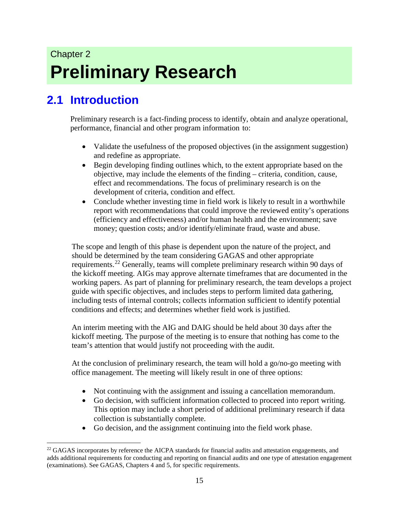# Chapter 2 **Preliminary Research**

## <span id="page-20-0"></span>**2.1 Introduction**

Preliminary research is a fact-finding process to identify, obtain and analyze operational, performance, financial and other program information to:

- Validate the usefulness of the proposed objectives (in the assignment suggestion) and redefine as appropriate.
- Begin developing finding outlines which, to the extent appropriate based on the objective, may include the elements of the finding – criteria, condition, cause, effect and recommendations. The focus of preliminary research is on the development of criteria, condition and effect.
- Conclude whether investing time in field work is likely to result in a worthwhile report with recommendations that could improve the reviewed entity's operations (efficiency and effectiveness) and/or human health and the environment; save money; question costs; and/or identify/eliminate fraud, waste and abuse.

The scope and length of this phase is dependent upon the nature of the project, and should be determined by the team considering GAGAS and other appropriate requirements.<sup>[22](#page-20-1)</sup> Generally, teams will complete preliminary research within 90 days of the kickoff meeting. AIGs may approve alternate timeframes that are documented in the working papers. As part of planning for preliminary research, the team develops a project guide with specific objectives, and includes steps to perform limited data gathering, including tests of internal controls; collects information sufficient to identify potential conditions and effects; and determines whether field work is justified.

An interim meeting with the AIG and DAIG should be held about 30 days after the kickoff meeting. The purpose of the meeting is to ensure that nothing has come to the team's attention that would justify not proceeding with the audit.

At the conclusion of preliminary research, the team will hold a go/no-go meeting with office management. The meeting will likely result in one of three options:

- Not continuing with the assignment and issuing a cancellation memorandum.
- Go decision, with sufficient information collected to proceed into report writing. This option may include a short period of additional preliminary research if data collection is substantially complete.
- Go decision, and the assignment continuing into the field work phase.

<span id="page-20-1"></span><sup>&</sup>lt;sup>22</sup> GAGAS incorporates by reference the AICPA standards for financial audits and attestation engagements, and adds additional requirements for conducting and reporting on financial audits and one type of attestation engagement (examinations). See GAGAS, Chapters 4 and 5, for specific requirements.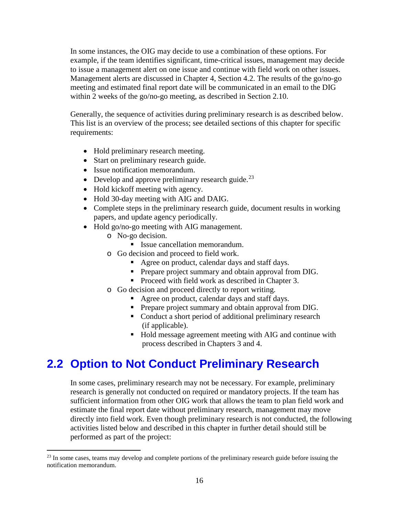In some instances, the OIG may decide to use a combination of these options. For example, if the team identifies significant, time-critical issues, management may decide to issue a management alert on one issue and continue with field work on other issues. Management alerts are discussed in Chapter 4, Section 4.2. The results of the go/no-go meeting and estimated final report date will be communicated in an email to the DIG within 2 weeks of the go/no-go meeting, as described in Section 2.10.

Generally, the sequence of activities during preliminary research is as described below. This list is an overview of the process; see detailed sections of this chapter for specific requirements:

- Hold preliminary research meeting.
- Start on preliminary research guide.
- Issue notification memorandum.
- Develop and approve preliminary research guide. $^{23}$  $^{23}$  $^{23}$
- Hold kickoff meeting with agency.
- Hold 30-day meeting with AIG and DAIG.
- Complete steps in the preliminary research guide, document results in working papers, and update agency periodically.
- Hold go/no-go meeting with AIG management.
	- o No-go decision.
		- Issue cancellation memorandum.
	- o Go decision and proceed to field work.
		- Agree on product, calendar days and staff days.
		- **Prepare project summary and obtain approval from DIG.**
		- Proceed with field work as described in Chapter 3.
	- o Go decision and proceed directly to report writing.
		- Agree on product, calendar days and staff days.
		- **Prepare project summary and obtain approval from DIG.**
		- Conduct a short period of additional preliminary research (if applicable).
		- Hold message agreement meeting with AIG and continue with process described in Chapters 3 and 4.

### <span id="page-21-0"></span>**2.2 Option to Not Conduct Preliminary Research**

In some cases, preliminary research may not be necessary. For example, preliminary research is generally not conducted on required or mandatory projects. If the team has sufficient information from other OIG work that allows the team to plan field work and estimate the final report date without preliminary research, management may move directly into field work. Even though preliminary research is not conducted, the following activities listed below and described in this chapter in further detail should still be performed as part of the project:

<span id="page-21-1"></span><sup>&</sup>lt;sup>23</sup> In some cases, teams may develop and complete portions of the preliminary research guide before issuing the notification memorandum.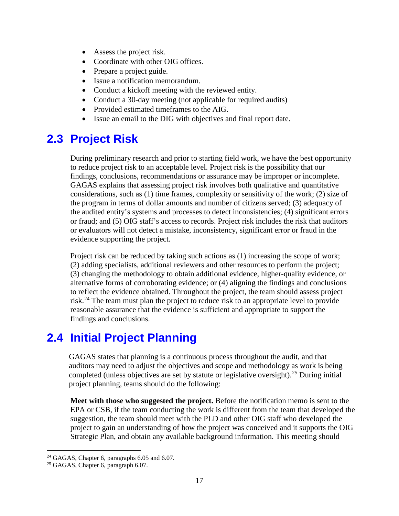- Assess the project risk.
- Coordinate with other OIG offices.
- Prepare a project guide.
- Issue a notification memorandum.
- Conduct a kickoff meeting with the reviewed entity.
- Conduct a 30-day meeting (not applicable for required audits)
- Provided estimated timeframes to the AIG.
- Issue an email to the DIG with objectives and final report date.

#### <span id="page-22-0"></span>**2.3 Project Risk**

During preliminary research and prior to starting field work, we have the best opportunity to reduce project risk to an acceptable level. Project risk is the possibility that our findings, conclusions, recommendations or assurance may be improper or incomplete. GAGAS explains that assessing project risk involves both qualitative and quantitative considerations, such as (1) time frames, complexity or sensitivity of the work; (2) size of the program in terms of dollar amounts and number of citizens served; (3) adequacy of the audited entity's systems and processes to detect inconsistencies; (4) significant errors or fraud; and (5) OIG staff's access to records. Project risk includes the risk that auditors or evaluators will not detect a mistake, inconsistency, significant error or fraud in the evidence supporting the project.

Project risk can be reduced by taking such actions as (1) increasing the scope of work; (2) adding specialists, additional reviewers and other resources to perform the project; (3) changing the methodology to obtain additional evidence, higher-quality evidence, or alternative forms of corroborating evidence; or (4) aligning the findings and conclusions to reflect the evidence obtained. Throughout the project, the team should assess project risk.<sup>[24](#page-22-2)</sup> The team must plan the project to reduce risk to an appropriate level to provide reasonable assurance that the evidence is sufficient and appropriate to support the findings and conclusions.

### <span id="page-22-1"></span>**2.4 Initial Project Planning**

GAGAS states that planning is a continuous process throughout the audit, and that auditors may need to adjust the objectives and scope and methodology as work is being completed (unless objectives are set by statute or legislative oversight).<sup>[25](#page-22-3)</sup> During initial project planning, teams should do the following:

**Meet with those who suggested the project.** Before the notification memo is sent to the EPA or CSB, if the team conducting the work is different from the team that developed the suggestion, the team should meet with the PLD and other OIG staff who developed the project to gain an understanding of how the project was conceived and it supports the OIG Strategic Plan, and obtain any available background information. This meeting should

<span id="page-22-2"></span><sup>&</sup>lt;sup>24</sup> GAGAS, Chapter 6, paragraphs 6.05 and 6.07.<br><sup>25</sup> GAGAS, Chapter 6, paragraph 6.07.

<span id="page-22-3"></span>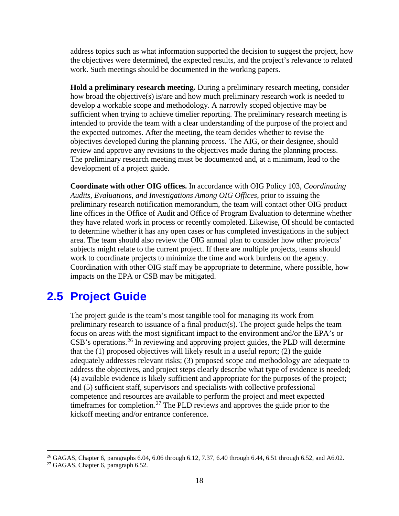address topics such as what information supported the decision to suggest the project, how the objectives were determined, the expected results, and the project's relevance to related work. Such meetings should be documented in the working papers.

**Hold a preliminary research meeting.** During a preliminary research meeting, consider how broad the objective(s) is/are and how much preliminary research work is needed to develop a workable scope and methodology. A narrowly scoped objective may be sufficient when trying to achieve timelier reporting. The preliminary research meeting is intended to provide the team with a clear understanding of the purpose of the project and the expected outcomes. After the meeting, the team decides whether to revise the objectives developed during the planning process. The AIG, or their designee, should review and approve any revisions to the objectives made during the planning process. The preliminary research meeting must be documented and, at a minimum, lead to the development of a project guide.

**Coordinate with other OIG offices.** In accordance with OIG Policy 103, *Coordinating Audits, Evaluations, and Investigations Among OIG Offices*, prior to issuing the preliminary research notification memorandum, the team will contact other OIG product line offices in the Office of Audit and Office of Program Evaluation to determine whether they have related work in process or recently completed. Likewise, OI should be contacted to determine whether it has any open cases or has completed investigations in the subject area. The team should also review the OIG annual plan to consider how other projects' subjects might relate to the current project. If there are multiple projects, teams should work to coordinate projects to minimize the time and work burdens on the agency. Coordination with other OIG staff may be appropriate to determine, where possible, how impacts on the EPA or CSB may be mitigated.

#### <span id="page-23-0"></span>**2.5 Project Guide**

The project guide is the team's most tangible tool for managing its work from preliminary research to issuance of a final product(s). The project guide helps the team focus on areas with the most significant impact to the environment and/or the EPA's or CSB's operations.<sup>[26](#page-23-1)</sup> In reviewing and approving project guides, the PLD will determine that the (1) proposed objectives will likely result in a useful report; (2) the guide adequately addresses relevant risks; (3) proposed scope and methodology are adequate to address the objectives, and project steps clearly describe what type of evidence is needed; (4) available evidence is likely sufficient and appropriate for the purposes of the project; and (5) sufficient staff, supervisors and specialists with collective professional competence and resources are available to perform the project and meet expected timeframes for completion.<sup>[27](#page-23-2)</sup> The PLD reviews and approves the guide prior to the kickoff meeting and/or entrance conference.

<span id="page-23-1"></span><sup>&</sup>lt;sup>26</sup> GAGAS, Chapter 6, paragraphs 6.04, 6.06 through 6.12, 7.37, 6.40 through 6.44, 6.51 through 6.52, and A6.02.

<span id="page-23-2"></span><sup>&</sup>lt;sup>27</sup> GAGAS, Chapter 6, paragraph 6.52.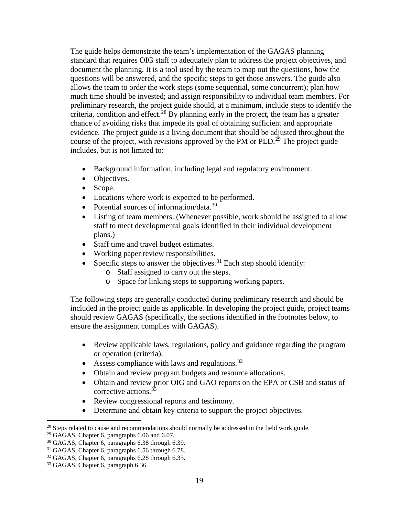The guide helps demonstrate the team's implementation of the GAGAS planning standard that requires OIG staff to adequately plan to address the project objectives, and document the planning. It is a tool used by the team to map out the questions, how the questions will be answered, and the specific steps to get those answers. The guide also allows the team to order the work steps (some sequential, some concurrent); plan how much time should be invested; and assign responsibility to individual team members. For preliminary research, the project guide should, at a minimum, include steps to identify the criteria, condition and effect.<sup>[28](#page-24-0)</sup> By planning early in the project, the team has a greater chance of avoiding risks that impede its goal of obtaining sufficient and appropriate evidence. The project guide is a living document that should be adjusted throughout the course of the project, with revisions approved by the PM or PLD.<sup>[29](#page-24-1)</sup> The project guide includes, but is not limited to:

- Background information, including legal and regulatory environment.
- Objectives.
- Scope.
- Locations where work is expected to be performed.
- Potential sources of information/data. $30$
- Listing of team members. (Whenever possible, work should be assigned to allow staff to meet developmental goals identified in their individual development plans.)
- Staff time and travel budget estimates.
- Working paper review responsibilities.
- Specific steps to answer the objectives.<sup>[31](#page-24-3)</sup> Each step should identify:
	- o Staff assigned to carry out the steps.
	- o Space for linking steps to supporting working papers.

The following steps are generally conducted during preliminary research and should be included in the project guide as applicable. In developing the project guide, project teams should review GAGAS (specifically, the sections identified in the footnotes below, to ensure the assignment complies with GAGAS).

- Review applicable laws, regulations, policy and guidance regarding the program or operation (criteria).
- Assess compliance with laws and regulations.<sup>[32](#page-24-4)</sup>
- Obtain and review program budgets and resource allocations.
- Obtain and review prior OIG and GAO reports on the EPA or CSB and status of corrective actions. [33](#page-24-5)
- Review congressional reports and testimony.
- Determine and obtain key criteria to support the project objectives.

<span id="page-24-0"></span><sup>&</sup>lt;sup>28</sup> Steps related to cause and recommendations should normally be addressed in the field work guide.

<span id="page-24-1"></span> $29$  GAGAS, Chapter 6, paragraphs 6.06 and 6.07.

<span id="page-24-2"></span><sup>30</sup> GAGAS, Chapter 6, paragraphs 6.38 through 6.39.

<span id="page-24-3"></span><sup>&</sup>lt;sup>31</sup> GAGAS, Chapter 6, paragraphs 6.56 through 6.78.

<span id="page-24-4"></span><sup>&</sup>lt;sup>32</sup> GAGAS, Chapter 6, paragraphs 6.28 through 6.35.

<span id="page-24-5"></span><sup>&</sup>lt;sup>33</sup> GAGAS, Chapter 6, paragraph 6.36.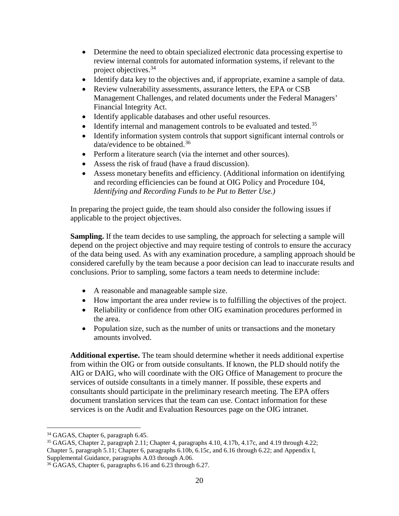- Determine the need to obtain specialized electronic data processing expertise to review internal controls for automated information systems, if relevant to the project objectives. [34](#page-25-0)
- Identify data key to the objectives and, if appropriate, examine a sample of data.
- Review vulnerability assessments, assurance letters, the EPA or CSB Management Challenges, and related documents under the Federal Managers' Financial Integrity Act.
- Identify applicable databases and other useful resources.
- Identify internal and management controls to be evaluated and tested.<sup>[35](#page-25-1)</sup>
- Identify information system controls that support significant internal controls or data/evidence to be obtained.<sup>[36](#page-25-2)</sup>
- Perform a literature search (via the internet and other sources).
- Assess the risk of fraud (have a fraud discussion).
- Assess monetary benefits and efficiency. (Additional information on identifying and recording efficiencies can be found at OIG Policy and Procedure 104, *Identifying and Recording Funds to be Put to Better Use.)*

In preparing the project guide, the team should also consider the following issues if applicable to the project objectives.

**Sampling.** If the team decides to use sampling, the approach for selecting a sample will depend on the project objective and may require testing of controls to ensure the accuracy of the data being used. As with any examination procedure, a sampling approach should be considered carefully by the team because a poor decision can lead to inaccurate results and conclusions. Prior to sampling, some factors a team needs to determine include:

- A reasonable and manageable sample size.
- How important the area under review is to fulfilling the objectives of the project.
- Reliability or confidence from other OIG examination procedures performed in the area.
- Population size, such as the number of units or transactions and the monetary amounts involved.

**Additional expertise.** The team should determine whether it needs additional expertise from within the OIG or from outside consultants. If known, the PLD should notify the AIG or DAIG, who will coordinate with the OIG Office of Management to procure the services of outside consultants in a timely manner. If possible, these experts and consultants should participate in the preliminary research meeting. The EPA offers document translation services that the team can use. Contact information for these services is on the Audit and Evaluation Resources page on the OIG intranet.

<span id="page-25-0"></span><sup>&</sup>lt;sup>34</sup> GAGAS, Chapter 6, paragraph 6.45.

<span id="page-25-1"></span><sup>35</sup> GAGAS, Chapter 2, paragraph 2.11; Chapter 4, paragraphs 4.10, 4.17b, 4.17c, and 4.19 through 4.22; Chapter 5, paragraph 5.11; Chapter 6, paragraphs 6.10b, 6.15c, and 6.16 through 6.22; and Appendix I, Supplemental Guidance, paragraphs A.03 through A.06.

<span id="page-25-2"></span><sup>36</sup> GAGAS, Chapter 6, paragraphs 6.16 and 6.23 through 6.27.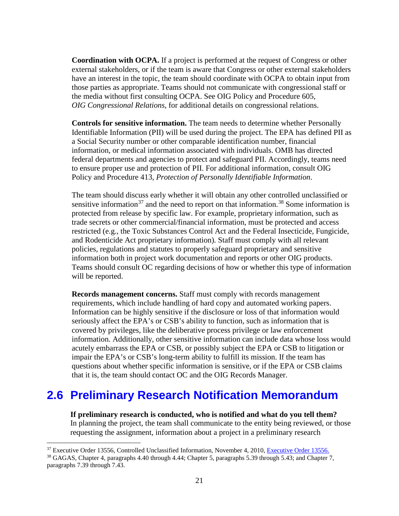**Coordination with OCPA.** If a project is performed at the request of Congress or other external stakeholders, or if the team is aware that Congress or other external stakeholders have an interest in the topic, the team should coordinate with OCPA to obtain input from those parties as appropriate. Teams should not communicate with congressional staff or the media without first consulting OCPA. See OIG Policy and Procedure 605, *OIG Congressional Relations*, for additional details on congressional relations.

**Controls for sensitive information.** The team needs to determine whether Personally Identifiable Information (PII) will be used during the project. The EPA has defined PII as a Social Security number or other comparable identification number, financial information, or medical information associated with individuals. OMB has directed federal departments and agencies to protect and safeguard PII. Accordingly, teams need to ensure proper use and protection of PII. For additional information, consult OIG Policy and Procedure 413, *Protection of Personally Identifiable Information*.

The team should discuss early whether it will obtain any other controlled unclassified or sensitive information<sup>[37](#page-26-1)</sup> and the need to report on that information.<sup>[38](#page-26-2)</sup> Some information is protected from release by specific law. For example, proprietary information, such as trade secrets or other commercial/financial information, must be protected and access restricted (e.g., the Toxic Substances Control Act and the Federal Insecticide, Fungicide, and Rodenticide Act proprietary information). Staff must comply with all relevant policies, regulations and statutes to properly safeguard proprietary and sensitive information both in project work documentation and reports or other OIG products. Teams should consult OC regarding decisions of how or whether this type of information will be reported.

**Records management concerns.** Staff must comply with records management requirements, which include handling of hard copy and automated working papers. Information can be highly sensitive if the disclosure or loss of that information would seriously affect the EPA's or CSB's ability to function, such as information that is covered by privileges, like the deliberative process privilege or law enforcement information. Additionally, other sensitive information can include data whose loss would acutely embarrass the EPA or CSB, or possibly subject the EPA or CSB to litigation or impair the EPA's or CSB's long-term ability to fulfill its mission. If the team has questions about whether specific information is sensitive, or if the EPA or CSB claims that it is, the team should contact OC and the OIG Records Manager.

#### <span id="page-26-0"></span>**2.6 Preliminary Research Notification Memorandum**

**If preliminary research is conducted, who is notified and what do you tell them?** In planning the project, the team shall communicate to the entity being reviewed, or those requesting the assignment, information about a project in a preliminary research

<span id="page-26-1"></span> <sup>37</sup> Executive Order 13556, Controlled Unclassified Information, November 4, 2010[, Executive Order 13556.](https://www.whitehouse.gov/the-press-office/2010/11/04/executive-order-13556-controlled-unclassified-information)

<span id="page-26-2"></span><sup>38</sup> GAGAS, Chapter 4, paragraphs 4.40 through 4.44; Chapter 5, paragraphs 5.39 through 5.43; and Chapter 7, paragraphs 7.39 through 7.43.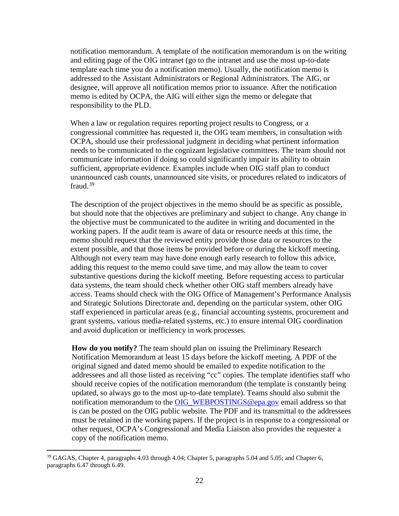notification memorandum. A template of the notification memorandum is on the writing and editing page of the OIG intranet (go to the intranet and use the most up-to-date template each time you do a notification memo). Usually, the notification memo is addressed to the Assistant Administrators or Regional Administrators. The AIG, or designee, will approve all notification memos prior to issuance. After the notification memo is edited by OCPA, the AIG will either sign the memo or delegate that responsibility to the PLD.

When a law or regulation requires reporting project results to Congress, or a congressional committee has requested it, the OIG team members, in consultation with OCPA, should use their professional judgment in deciding what pertinent information needs to be communicated to the cognizant legislative committees. The team should not communicate information if doing so could significantly impair its ability to obtain sufficient, appropriate evidence. Examples include when OIG staff plan to conduct unannounced cash counts, unannounced site visits, or procedures related to indicators of fraud.[39](#page-27-0)

The description of the project objectives in the memo should be as specific as possible, but should note that the objectives are preliminary and subject to change. Any change in the objective must be communicated to the auditee in writing and documented in the working papers. If the audit team is aware of data or resource needs at this time, the memo should request that the reviewed entity provide those data or resources to the extent possible, and that those items be provided before or during the kickoff meeting. Although not every team may have done enough early research to follow this advice, adding this request to the memo could save time, and may allow the team to cover substantive questions during the kickoff meeting. Before requesting access to particular data systems, the team should check whether other OIG staff members already have access. Teams should check with the OIG Office of Management's Performance Analysis and Strategic Solutions Directorate and, depending on the particular system, other OIG staff experienced in particular areas (e.g., financial accounting systems, procurement and grant systems, various media-related systems, etc.) to ensure internal OIG coordination and avoid duplication or inefficiency in work processes.

**How do you notify?** The team should plan on issuing the Preliminary Research Notification Memorandum at least 15 days before the kickoff meeting. A PDF of the original signed and dated memo should be emailed to expedite notification to the addressees and all those listed as receiving "cc" copies. The template identifies staff who should receive copies of the notification memorandum (the template is constantly being updated, so always go to the most up-to-date template). Teams should also submit the notification memorandum to the [OIG\\_WEBPOSTINGS@epa.gov](mailto:OIG_WEBPOSTINGS@epa.gov) email address so that is can be posted on the OIG public website. The PDF and its transmittal to the addressees must be retained in the working papers. If the project is in response to a congressional or other request, OCPA's Congressional and Media Liaison also provides the requester a copy of the notification memo.

<span id="page-27-0"></span> <sup>39</sup> GAGAS, Chapter 4, paragraphs 4.03 through 4.04; Chapter 5, paragraphs 5.04 and 5.05; and Chapter 6, paragraphs 6.47 through 6.49.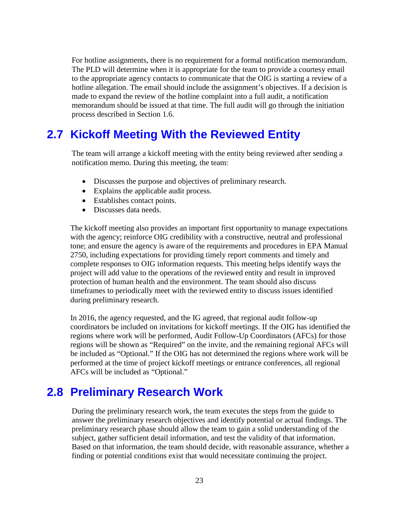For hotline assignments, there is no requirement for a formal notification memorandum. The PLD will determine when it is appropriate for the team to provide a courtesy email to the appropriate agency contacts to communicate that the OIG is starting a review of a hotline allegation. The email should include the assignment's objectives. If a decision is made to expand the review of the hotline complaint into a full audit, a notification memorandum should be issued at that time. The full audit will go through the initiation process described in Section 1.6.

#### <span id="page-28-0"></span>**2.7 Kickoff Meeting With the Reviewed Entity**

The team will arrange a kickoff meeting with the entity being reviewed after sending a notification memo. During this meeting, the team:

- Discusses the purpose and objectives of preliminary research.
- Explains the applicable audit process.
- Establishes contact points.
- Discusses data needs.

The kickoff meeting also provides an important first opportunity to manage expectations with the agency; reinforce OIG credibility with a constructive, neutral and professional tone; and ensure the agency is aware of the requirements and procedures in EPA Manual 2750, including expectations for providing timely report comments and timely and complete responses to OIG information requests. This meeting helps identify ways the project will add value to the operations of the reviewed entity and result in improved protection of human health and the environment. The team should also discuss timeframes to periodically meet with the reviewed entity to discuss issues identified during preliminary research.

In 2016, the agency requested, and the IG agreed, that regional audit follow-up coordinators be included on invitations for kickoff meetings. If the OIG has identified the regions where work will be performed, Audit Follow-Up Coordinators (AFCs) for those regions will be shown as "Required" on the invite, and the remaining regional AFCs will be included as "Optional." If the OIG has not determined the regions where work will be performed at the time of project kickoff meetings or entrance conferences, all regional AFCs will be included as "Optional."

#### <span id="page-28-1"></span>**2.8 Preliminary Research Work**

During the preliminary research work, the team executes the steps from the guide to answer the preliminary research objectives and identify potential or actual findings. The preliminary research phase should allow the team to gain a solid understanding of the subject, gather sufficient detail information, and test the validity of that information. Based on that information, the team should decide, with reasonable assurance, whether a finding or potential conditions exist that would necessitate continuing the project.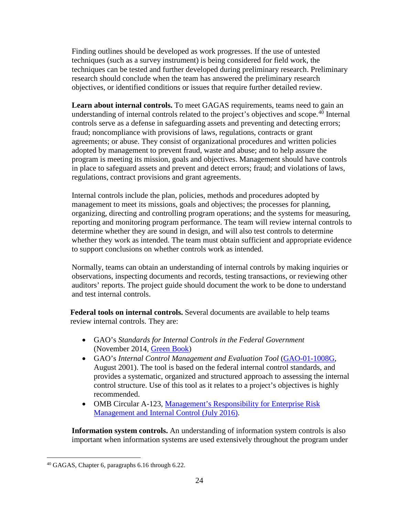Finding outlines should be developed as work progresses. If the use of untested techniques (such as a survey instrument) is being considered for field work, the techniques can be tested and further developed during preliminary research. Preliminary research should conclude when the team has answered the preliminary research objectives, or identified conditions or issues that require further detailed review.

**Learn about internal controls.** To meet GAGAS requirements, teams need to gain an understanding of internal controls related to the project's objectives and scope.<sup>[40](#page-29-0)</sup> Internal controls serve as a defense in safeguarding assets and preventing and detecting errors; fraud; noncompliance with provisions of laws, regulations, contracts or grant agreements; or abuse. They consist of organizational procedures and written policies adopted by management to prevent fraud, waste and abuse; and to help assure the program is meeting its mission, goals and objectives. Management should have controls in place to safeguard assets and prevent and detect errors; fraud; and violations of laws, regulations, contract provisions and grant agreements.

Internal controls include the plan, policies, methods and procedures adopted by management to meet its missions, goals and objectives; the processes for planning, organizing, directing and controlling program operations; and the systems for measuring, reporting and monitoring program performance. The team will review internal controls to determine whether they are sound in design, and will also test controls to determine whether they work as intended. The team must obtain sufficient and appropriate evidence to support conclusions on whether controls work as intended.

Normally, teams can obtain an understanding of internal controls by making inquiries or observations, inspecting documents and records, testing transactions, or reviewing other auditors' reports. The project guide should document the work to be done to understand and test internal controls.

**Federal tools on internal controls.** Several documents are available to help teams review internal controls. They are:

- GAO's *Standards for Internal Controls in the Federal Government* (November 2014, [Green Book\)](http://www.gao.gov/greenbook/overview)
- GAO's *Internal Control Management and Evaluation Tool* [\(GAO-01-1008G,](http://www.gao.gov/new.items/d011008g.pdf) August 2001). The tool is based on the federal internal control standards, and provides a systematic, organized and structured approach to assessing the internal control structure. Use of this tool as it relates to a project's objectives is highly recommended.
- OMB Circular A-123, Management's Responsibility for Enterprise Risk [Management and Internal Control](https://www.whitehouse.gov/sites/default/files/omb/memoranda/2016/m-16-17.pdf) (July 2016).

**Information system controls.** An understanding of information system controls is also important when information systems are used extensively throughout the program under

<span id="page-29-0"></span> <sup>40</sup> GAGAS, Chapter 6, paragraphs 6.16 through 6.22.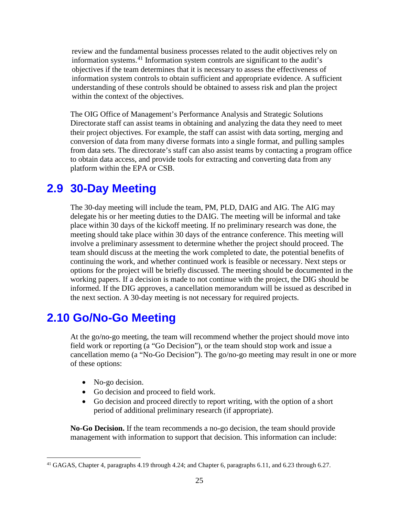review and the fundamental business processes related to the audit objectives rely on information systems.<sup>[41](#page-30-2)</sup> Information system controls are significant to the audit's objectives if the team determines that it is necessary to assess the effectiveness of information system controls to obtain sufficient and appropriate evidence. A sufficient understanding of these controls should be obtained to assess risk and plan the project within the context of the objectives.

The OIG Office of Management's Performance Analysis and Strategic Solutions Directorate staff can assist teams in obtaining and analyzing the data they need to meet their project objectives. For example, the staff can assist with data sorting, merging and conversion of data from many diverse formats into a single format, and pulling samples from data sets. The directorate's staff can also assist teams by contacting a program office to obtain data access, and provide tools for extracting and converting data from any platform within the EPA or CSB.

#### <span id="page-30-0"></span>**2.9 30-Day Meeting**

The 30-day meeting will include the team, PM, PLD, DAIG and AIG. The AIG may delegate his or her meeting duties to the DAIG. The meeting will be informal and take place within 30 days of the kickoff meeting. If no preliminary research was done, the meeting should take place within 30 days of the entrance conference. This meeting will involve a preliminary assessment to determine whether the project should proceed. The team should discuss at the meeting the work completed to date, the potential benefits of continuing the work, and whether continued work is feasible or necessary. Next steps or options for the project will be briefly discussed. The meeting should be documented in the working papers. If a decision is made to not continue with the project, the DIG should be informed. If the DIG approves, a cancellation memorandum will be issued as described in the next section. A 30-day meeting is not necessary for required projects.

#### <span id="page-30-1"></span>**2.10 Go/No-Go Meeting**

At the go/no-go meeting, the team will recommend whether the project should move into field work or reporting (a "Go Decision"), or the team should stop work and issue a cancellation memo (a "No-Go Decision"). The go/no-go meeting may result in one or more of these options:

- No-go decision.
- Go decision and proceed to field work.
- Go decision and proceed directly to report writing, with the option of a short period of additional preliminary research (if appropriate).

**No-Go Decision.** If the team recommends a no-go decision, the team should provide management with information to support that decision. This information can include:

<span id="page-30-2"></span> <sup>41</sup> GAGAS, Chapter 4, paragraphs 4.19 through 4.24; and Chapter 6, paragraphs 6.11, and 6.23 through 6.27.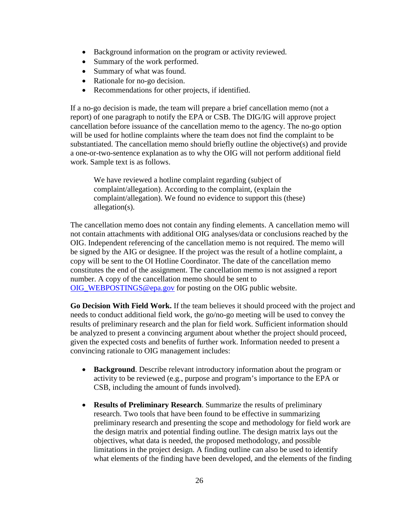- Background information on the program or activity reviewed.
- Summary of the work performed.
- Summary of what was found.
- Rationale for no-go decision.
- Recommendations for other projects, if identified.

If a no-go decision is made, the team will prepare a brief cancellation memo (not a report) of one paragraph to notify the EPA or CSB. The DIG/IG will approve project cancellation before issuance of the cancellation memo to the agency. The no-go option will be used for hotline complaints where the team does not find the complaint to be substantiated. The cancellation memo should briefly outline the objective(s) and provide a one-or-two-sentence explanation as to why the OIG will not perform additional field work. Sample text is as follows.

We have reviewed a hotline complaint regarding (subject of complaint/allegation). According to the complaint, (explain the complaint/allegation). We found no evidence to support this (these) allegation(s).

The cancellation memo does not contain any finding elements. A cancellation memo will not contain attachments with additional OIG analyses/data or conclusions reached by the OIG. Independent referencing of the cancellation memo is not required. The memo will be signed by the AIG or designee. If the project was the result of a hotline complaint, a copy will be sent to the OI Hotline Coordinator. The date of the cancellation memo constitutes the end of the assignment. The cancellation memo is not assigned a report number. A copy of the cancellation memo should be sent to [OIG\\_WEBPOSTINGS@epa.gov](mailto:OIG_WEBPOSTINGS@epa.gov) for posting on the OIG public website.

**Go Decision With Field Work.** If the team believes it should proceed with the project and needs to conduct additional field work, the go/no-go meeting will be used to convey the results of preliminary research and the plan for field work. Sufficient information should be analyzed to present a convincing argument about whether the project should proceed, given the expected costs and benefits of further work. Information needed to present a convincing rationale to OIG management includes:

- **Background**. Describe relevant introductory information about the program or activity to be reviewed (e.g., purpose and program's importance to the EPA or CSB, including the amount of funds involved).
- **Results of Preliminary Research**. Summarize the results of preliminary research. Two tools that have been found to be effective in summarizing preliminary research and presenting the scope and methodology for field work are the design matrix and potential finding outline. The design matrix lays out the objectives, what data is needed, the proposed methodology, and possible limitations in the project design. A finding outline can also be used to identify what elements of the finding have been developed, and the elements of the finding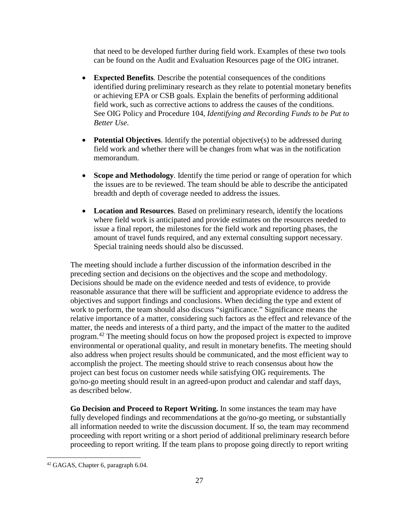that need to be developed further during field work. Examples of these two tools can be found on the Audit and Evaluation Resources page of the OIG intranet.

- **Expected Benefits**. Describe the potential consequences of the conditions identified during preliminary research as they relate to potential monetary benefits or achieving EPA or CSB goals. Explain the benefits of performing additional field work, such as corrective actions to address the causes of the conditions. See OIG Policy and Procedure 104, *Identifying and Recording Funds to be Put to Better Use*.
- **Potential Objectives**. Identify the potential objective(s) to be addressed during field work and whether there will be changes from what was in the notification memorandum.
- **Scope and Methodology**. Identify the time period or range of operation for which the issues are to be reviewed. The team should be able to describe the anticipated breadth and depth of coverage needed to address the issues.
- **Location and Resources**. Based on preliminary research, identify the locations where field work is anticipated and provide estimates on the resources needed to issue a final report, the milestones for the field work and reporting phases, the amount of travel funds required, and any external consulting support necessary. Special training needs should also be discussed.

The meeting should include a further discussion of the information described in the preceding section and decisions on the objectives and the scope and methodology. Decisions should be made on the evidence needed and tests of evidence, to provide reasonable assurance that there will be sufficient and appropriate evidence to address the objectives and support findings and conclusions. When deciding the type and extent of work to perform, the team should also discuss "significance." Significance means the relative importance of a matter, considering such factors as the effect and relevance of the matter, the needs and interests of a third party, and the impact of the matter to the audited program.<sup>[42](#page-32-0)</sup> The meeting should focus on how the proposed project is expected to improve environmental or operational quality, and result in monetary benefits. The meeting should also address when project results should be communicated, and the most efficient way to accomplish the project. The meeting should strive to reach consensus about how the project can best focus on customer needs while satisfying OIG requirements. The go/no-go meeting should result in an agreed-upon product and calendar and staff days, as described below.

**Go Decision and Proceed to Report Writing.** In some instances the team may have fully developed findings and recommendations at the go/no-go meeting, or substantially all information needed to write the discussion document. If so, the team may recommend proceeding with report writing or a short period of additional preliminary research before proceeding to report writing. If the team plans to propose going directly to report writing

<span id="page-32-0"></span> <sup>42</sup> GAGAS, Chapter 6, paragraph 6.04.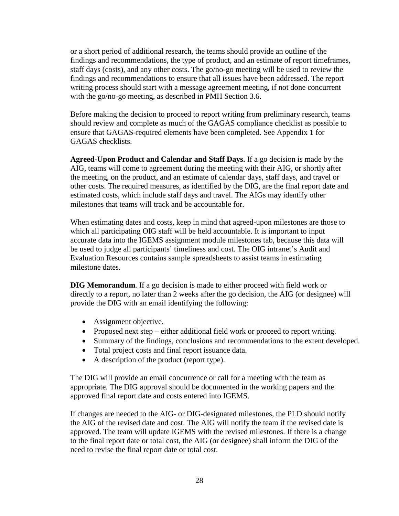or a short period of additional research, the teams should provide an outline of the findings and recommendations, the type of product, and an estimate of report timeframes, staff days (costs), and any other costs. The go/no-go meeting will be used to review the findings and recommendations to ensure that all issues have been addressed. The report writing process should start with a message agreement meeting, if not done concurrent with the go/no-go meeting, as described in PMH Section 3.6.

Before making the decision to proceed to report writing from preliminary research, teams should review and complete as much of the GAGAS compliance checklist as possible to ensure that GAGAS-required elements have been completed. See Appendix 1 for GAGAS checklists.

**Agreed-Upon Product and Calendar and Staff Days.** If a go decision is made by the AIG, teams will come to agreement during the meeting with their AIG, or shortly after the meeting, on the product, and an estimate of calendar days, staff days, and travel or other costs. The required measures, as identified by the DIG, are the final report date and estimated costs, which include staff days and travel. The AIGs may identify other milestones that teams will track and be accountable for.

When estimating dates and costs, keep in mind that agreed-upon milestones are those to which all participating OIG staff will be held accountable. It is important to input accurate data into the IGEMS assignment module milestones tab, because this data will be used to judge all participants' timeliness and cost. The OIG intranet's Audit and Evaluation Resources contains sample spreadsheets to assist teams in estimating milestone dates.

**DIG Memorandum**. If a go decision is made to either proceed with field work or directly to a report, no later than 2 weeks after the go decision, the AIG (or designee) will provide the DIG with an email identifying the following:

- Assignment objective.
- Proposed next step either additional field work or proceed to report writing.
- Summary of the findings, conclusions and recommendations to the extent developed.
- Total project costs and final report issuance data.
- A description of the product (report type).

The DIG will provide an email concurrence or call for a meeting with the team as appropriate. The DIG approval should be documented in the working papers and the approved final report date and costs entered into IGEMS.

If changes are needed to the AIG- or DIG-designated milestones, the PLD should notify the AIG of the revised date and cost. The AIG will notify the team if the revised date is approved. The team will update IGEMS with the revised milestones. If there is a change to the final report date or total cost, the AIG (or designee) shall inform the DIG of the need to revise the final report date or total cost.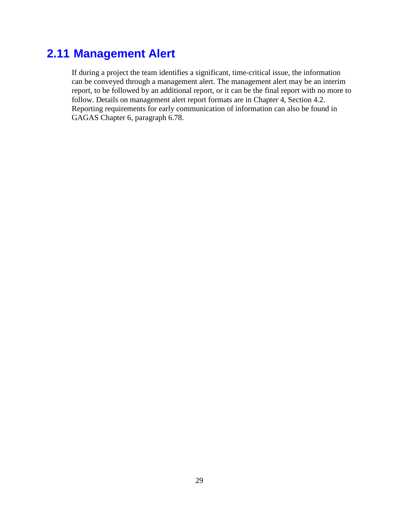#### <span id="page-34-0"></span>**2.11 Management Alert**

If during a project the team identifies a significant, time-critical issue, the information can be conveyed through a management alert. The management alert may be an interim report, to be followed by an additional report, or it can be the final report with no more to follow. Details on management alert report formats are in Chapter 4, Section 4.2. Reporting requirements for early communication of information can also be found in GAGAS Chapter 6, paragraph 6.78.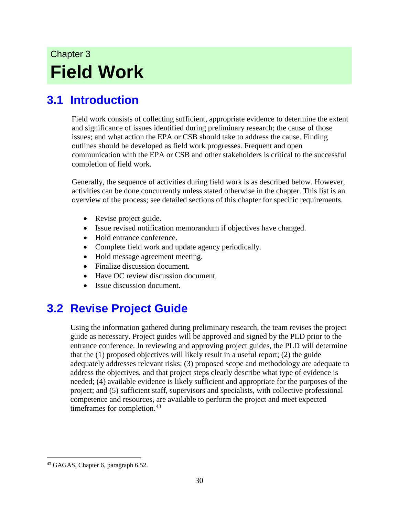# Chapter 3 **Field Work**

## <span id="page-35-0"></span>**3.1 Introduction**

Field work consists of collecting sufficient, appropriate evidence to determine the extent and significance of issues identified during preliminary research; the cause of those issues; and what action the EPA or CSB should take to address the cause. Finding outlines should be developed as field work progresses. Frequent and open communication with the EPA or CSB and other stakeholders is critical to the successful completion of field work.

Generally, the sequence of activities during field work is as described below. However, activities can be done concurrently unless stated otherwise in the chapter. This list is an overview of the process; see detailed sections of this chapter for specific requirements.

- Revise project guide.
- Issue revised notification memorandum if objectives have changed.
- Hold entrance conference.
- Complete field work and update agency periodically.
- Hold message agreement meeting.
- Finalize discussion document.
- Have OC review discussion document.
- Issue discussion document.

## <span id="page-35-1"></span>**3.2 Revise Project Guide**

Using the information gathered during preliminary research, the team revises the project guide as necessary. Project guides will be approved and signed by the PLD prior to the entrance conference. In reviewing and approving project guides, the PLD will determine that the (1) proposed objectives will likely result in a useful report; (2) the guide adequately addresses relevant risks; (3) proposed scope and methodology are adequate to address the objectives, and that project steps clearly describe what type of evidence is needed; (4) available evidence is likely sufficient and appropriate for the purposes of the project; and (5) sufficient staff, supervisors and specialists, with collective professional competence and resources, are available to perform the project and meet expected timeframes for completion.<sup>[43](#page-35-2)</sup>

<span id="page-35-2"></span> <sup>43</sup> GAGAS, Chapter 6, paragraph 6.52.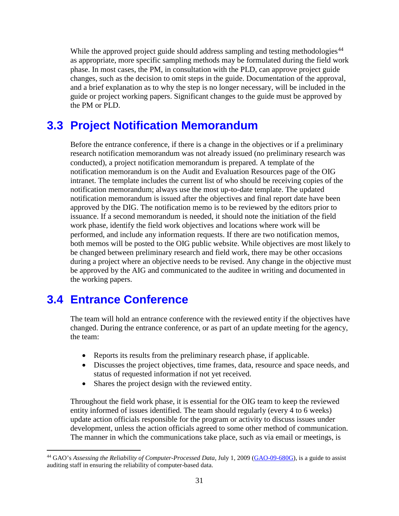While the approved project guide should address sampling and testing methodologies<sup>[44](#page-36-0)</sup> as appropriate, more specific sampling methods may be formulated during the field work phase. In most cases, the PM, in consultation with the PLD, can approve project guide changes, such as the decision to omit steps in the guide. Documentation of the approval, and a brief explanation as to why the step is no longer necessary, will be included in the guide or project working papers. Significant changes to the guide must be approved by the PM or PLD.

## **3.3 Project Notification Memorandum**

Before the entrance conference, if there is a change in the objectives or if a preliminary research notification memorandum was not already issued (no preliminary research was conducted), a project notification memorandum is prepared. A template of the notification memorandum is on the Audit and Evaluation Resources page of the OIG intranet. The template includes the current list of who should be receiving copies of the notification memorandum; always use the most up-to-date template. The updated notification memorandum is issued after the objectives and final report date have been approved by the DIG. The notification memo is to be reviewed by the editors prior to issuance. If a second memorandum is needed, it should note the initiation of the field work phase, identify the field work objectives and locations where work will be performed, and include any information requests. If there are two notification memos, both memos will be posted to the OIG public website. While objectives are most likely to be changed between preliminary research and field work, there may be other occasions during a project where an objective needs to be revised. Any change in the objective must be approved by the AIG and communicated to the auditee in writing and documented in the working papers.

## **3.4 Entrance Conference**

The team will hold an entrance conference with the reviewed entity if the objectives have changed. During the entrance conference, or as part of an update meeting for the agency, the team:

- Reports its results from the preliminary research phase, if applicable.
- Discusses the project objectives, time frames, data, resource and space needs, and status of requested information if not yet received.
- Shares the project design with the reviewed entity.

Throughout the field work phase, it is essential for the OIG team to keep the reviewed entity informed of issues identified. The team should regularly (every 4 to 6 weeks) update action officials responsible for the program or activity to discuss issues under development, unless the action officials agreed to some other method of communication. The manner in which the communications take place, such as via email or meetings, is

<span id="page-36-0"></span> <sup>44</sup> GAO's *Assessing the Reliability of Computer-Processed Data*, July 1, 2009 [\(GAO-09-680G\)](http://www.gao.gov/products/GAO-09-680G), is a guide to assist auditing staff in ensuring the reliability of computer-based data.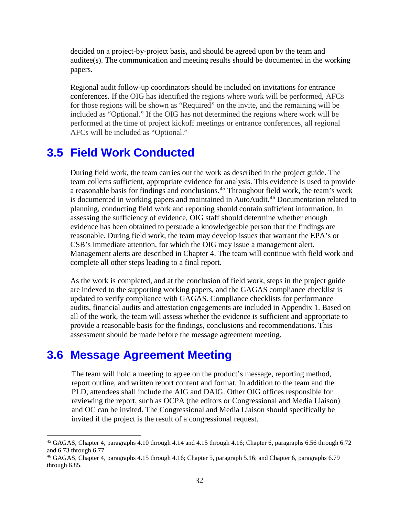decided on a project-by-project basis, and should be agreed upon by the team and auditee(s). The communication and meeting results should be documented in the working papers.

Regional audit follow-up coordinators should be included on invitations for entrance conferences. If the OIG has identified the regions where work will be performed, AFCs for those regions will be shown as "Required" on the invite, and the remaining will be included as "Optional." If the OIG has not determined the regions where work will be performed at the time of project kickoff meetings or entrance conferences, all regional AFCs will be included as "Optional."

### **3.5 Field Work Conducted**

During field work, the team carries out the work as described in the project guide. The team collects sufficient, appropriate evidence for analysis. This evidence is used to provide a reasonable basis for findings and conclusions. [45](#page-37-0) Throughout field work, the team's work is documented in working papers and maintained in AutoAudit.<sup>[46](#page-37-1)</sup> Documentation related to planning, conducting field work and reporting should contain sufficient information. In assessing the sufficiency of evidence, OIG staff should determine whether enough evidence has been obtained to persuade a knowledgeable person that the findings are reasonable. During field work, the team may develop issues that warrant the EPA's or CSB's immediate attention, for which the OIG may issue a management alert. Management alerts are described in Chapter 4. The team will continue with field work and complete all other steps leading to a final report.

As the work is completed, and at the conclusion of field work, steps in the project guide are indexed to the supporting working papers, and the GAGAS compliance checklist is updated to verify compliance with GAGAS. Compliance checklists for performance audits, financial audits and attestation engagements are included in Appendix 1. Based on all of the work, the team will assess whether the evidence is sufficient and appropriate to provide a reasonable basis for the findings, conclusions and recommendations. This assessment should be made before the message agreement meeting.

## **3.6 Message Agreement Meeting**

The team will hold a meeting to agree on the product's message, reporting method, report outline, and written report content and format. In addition to the team and the PLD, attendees shall include the AIG and DAIG. Other OIG offices responsible for reviewing the report, such as OCPA (the editors or Congressional and Media Liaison) and OC can be invited. The Congressional and Media Liaison should specifically be invited if the project is the result of a congressional request.

<span id="page-37-0"></span> <sup>45</sup> GAGAS, Chapter 4, paragraphs 4.10 through 4.14 and 4.15 through 4.16; Chapter 6, paragraphs 6.56 through 6.72 and 6.73 through 6.77.

<span id="page-37-1"></span><sup>46</sup> GAGAS, Chapter 4, paragraphs 4.15 through 4.16; Chapter 5, paragraph 5.16; and Chapter 6, paragraphs 6.79 through 6.85.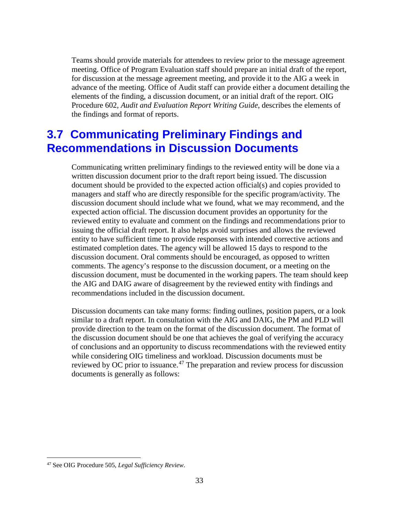Teams should provide materials for attendees to review prior to the message agreement meeting. Office of Program Evaluation staff should prepare an initial draft of the report, for discussion at the message agreement meeting, and provide it to the AIG a week in advance of the meeting. Office of Audit staff can provide either a document detailing the elements of the finding, a discussion document, or an initial draft of the report. OIG Procedure 602, *Audit and Evaluation Report Writing Guide*, describes the elements of the findings and format of reports.

## **3.7 Communicating Preliminary Findings and Recommendations in Discussion Documents**

Communicating written preliminary findings to the reviewed entity will be done via a written discussion document prior to the draft report being issued. The discussion document should be provided to the expected action official(s) and copies provided to managers and staff who are directly responsible for the specific program/activity. The discussion document should include what we found, what we may recommend, and the expected action official. The discussion document provides an opportunity for the reviewed entity to evaluate and comment on the findings and recommendations prior to issuing the official draft report. It also helps avoid surprises and allows the reviewed entity to have sufficient time to provide responses with intended corrective actions and estimated completion dates. The agency will be allowed 15 days to respond to the discussion document. Oral comments should be encouraged, as opposed to written comments. The agency's response to the discussion document, or a meeting on the discussion document, must be documented in the working papers. The team should keep the AIG and DAIG aware of disagreement by the reviewed entity with findings and recommendations included in the discussion document.

Discussion documents can take many forms: finding outlines, position papers, or a look similar to a draft report. In consultation with the AIG and DAIG, the PM and PLD will provide direction to the team on the format of the discussion document. The format of the discussion document should be one that achieves the goal of verifying the accuracy of conclusions and an opportunity to discuss recommendations with the reviewed entity while considering OIG timeliness and workload. Discussion documents must be reviewed by OC prior to issuance.<sup>[47](#page-38-0)</sup> The preparation and review process for discussion documents is generally as follows:

<span id="page-38-0"></span> <sup>47</sup> See OIG Procedure 505, *Legal Sufficiency Review*.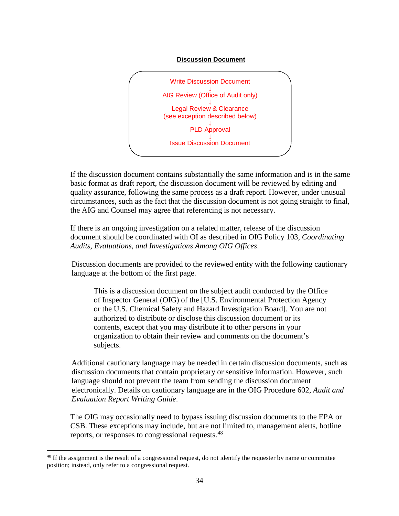#### **Discussion Document**



If the discussion document contains substantially the same information and is in the same basic format as draft report, the discussion document will be reviewed by editing and quality assurance, following the same process as a draft report. However, under unusual circumstances, such as the fact that the discussion document is not going straight to final, the AIG and Counsel may agree that referencing is not necessary.

If there is an ongoing investigation on a related matter, release of the discussion document should be coordinated with OI as described in OIG Policy 103, *Coordinating Audits, Evaluations, and Investigations Among OIG Offices*.

Discussion documents are provided to the reviewed entity with the following cautionary language at the bottom of the first page.

This is a discussion document on the subject audit conducted by the Office of Inspector General (OIG) of the [U.S. Environmental Protection Agency or the U.S. Chemical Safety and Hazard Investigation Board]. You are not authorized to distribute or disclose this discussion document or its contents, except that you may distribute it to other persons in your organization to obtain their review and comments on the document's subjects.

Additional cautionary language may be needed in certain discussion documents, such as discussion documents that contain proprietary or sensitive information. However, such language should not prevent the team from sending the discussion document electronically. Details on cautionary language are in the OIG Procedure 602, *Audit and Evaluation Report Writing Guide*.

The OIG may occasionally need to bypass issuing discussion documents to the EPA or CSB. These exceptions may include, but are not limited to, management alerts, hotline reports, or responses to congressional requests.<sup>[48](#page-39-0)</sup>

<span id="page-39-0"></span><sup>&</sup>lt;sup>48</sup> If the assignment is the result of a congressional request, do not identify the requester by name or committee position; instead, only refer to a congressional request.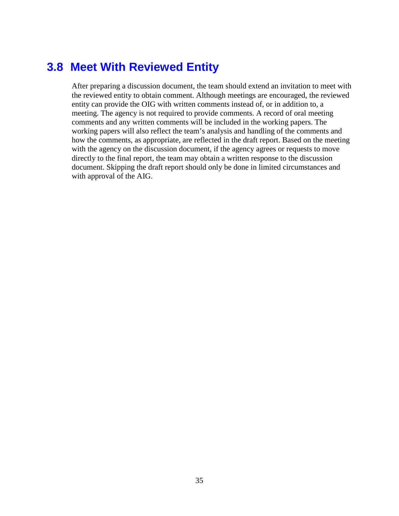### **3.8 Meet With Reviewed Entity**

After preparing a discussion document, the team should extend an invitation to meet with the reviewed entity to obtain comment. Although meetings are encouraged, the reviewed entity can provide the OIG with written comments instead of, or in addition to, a meeting. The agency is not required to provide comments. A record of oral meeting comments and any written comments will be included in the working papers. The working papers will also reflect the team's analysis and handling of the comments and how the comments, as appropriate, are reflected in the draft report. Based on the meeting with the agency on the discussion document, if the agency agrees or requests to move directly to the final report, the team may obtain a written response to the discussion document. Skipping the draft report should only be done in limited circumstances and with approval of the AIG.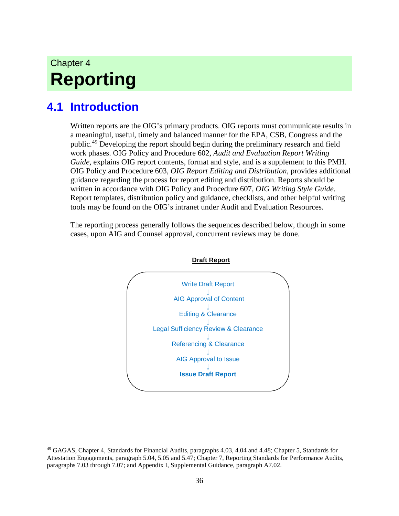# Chapter 4 **Reporting**

## **4.1 Introduction**

Written reports are the OIG's primary products. OIG reports must communicate results in a meaningful, useful, timely and balanced manner for the EPA, CSB, Congress and the public.<sup>[49](#page-41-0)</sup> Developing the report should begin during the preliminary research and field work phases. OIG Policy and Procedure 602, *Audit and Evaluation Report Writing Guide,* explains OIG report contents, format and style, and is a supplement to this PMH. OIG Policy and Procedure 603, *OIG Report Editing and Distribution,* provides additional guidance regarding the process for report editing and distribution. Reports should be written in accordance with OIG Policy and Procedure 607, *OIG Writing Style Guide*. Report templates, distribution policy and guidance, checklists, and other helpful writing tools may be found on the OIG's intranet under Audit and Evaluation Resources.

The reporting process generally follows the sequences described below, though in some cases, upon AIG and Counsel approval, concurrent reviews may be done.



**Draft Report**

<span id="page-41-0"></span> <sup>49</sup> GAGAS, Chapter 4, Standards for Financial Audits, paragraphs 4.03, 4.04 and 4.48; Chapter 5, Standards for Attestation Engagements, paragraph 5.04, 5.05 and 5.47; Chapter 7, Reporting Standards for Performance Audits, paragraphs 7.03 through 7.07; and Appendix I, Supplemental Guidance, paragraph A7.02.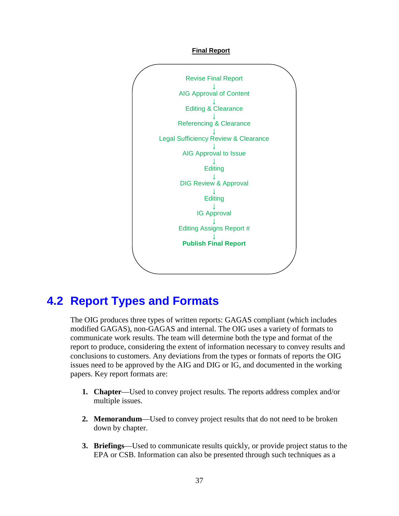



## **4.2 Report Types and Formats**

The OIG produces three types of written reports: GAGAS compliant (which includes modified GAGAS), non-GAGAS and internal. The OIG uses a variety of formats to communicate work results. The team will determine both the type and format of the report to produce, considering the extent of information necessary to convey results and conclusions to customers. Any deviations from the types or formats of reports the OIG issues need to be approved by the AIG and DIG or IG, and documented in the working papers. Key report formats are:

- **1. Chapter**—Used to convey project results. The reports address complex and/or multiple issues.
- **2. Memorandum**—Used to convey project results that do not need to be broken down by chapter.
- **3. Briefings**—Used to communicate results quickly, or provide project status to the EPA or CSB. Information can also be presented through such techniques as a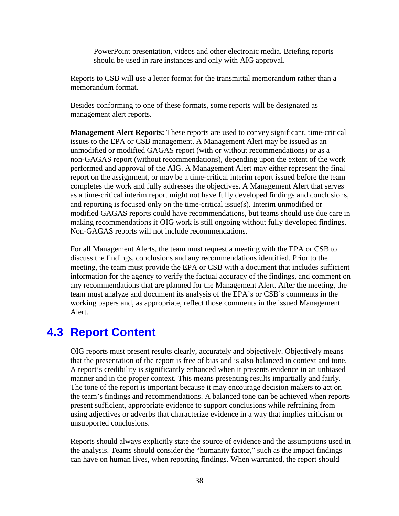PowerPoint presentation, videos and other electronic media. Briefing reports should be used in rare instances and only with AIG approval.

Reports to CSB will use a letter format for the transmittal memorandum rather than a memorandum format.

Besides conforming to one of these formats, some reports will be designated as management alert reports.

**Management Alert Reports:** These reports are used to convey significant, time-critical issues to the EPA or CSB management. A Management Alert may be issued as an unmodified or modified GAGAS report (with or without recommendations) or as a non-GAGAS report (without recommendations), depending upon the extent of the work performed and approval of the AIG. A Management Alert may either represent the final report on the assignment, or may be a time-critical interim report issued before the team completes the work and fully addresses the objectives. A Management Alert that serves as a time-critical interim report might not have fully developed findings and conclusions, and reporting is focused only on the time-critical issue(s). Interim unmodified or modified GAGAS reports could have recommendations, but teams should use due care in making recommendations if OIG work is still ongoing without fully developed findings. Non-GAGAS reports will not include recommendations.

For all Management Alerts, the team must request a meeting with the EPA or CSB to discuss the findings, conclusions and any recommendations identified. Prior to the meeting, the team must provide the EPA or CSB with a document that includes sufficient information for the agency to verify the factual accuracy of the findings, and comment on any recommendations that are planned for the Management Alert. After the meeting, the team must analyze and document its analysis of the EPA's or CSB's comments in the working papers and, as appropriate, reflect those comments in the issued Management Alert.

### **4.3 Report Content**

OIG reports must present results clearly, accurately and objectively. Objectively means that the presentation of the report is free of bias and is also balanced in context and tone. A report's credibility is significantly enhanced when it presents evidence in an unbiased manner and in the proper context. This means presenting results impartially and fairly. The tone of the report is important because it may encourage decision makers to act on the team's findings and recommendations. A balanced tone can be achieved when reports present sufficient, appropriate evidence to support conclusions while refraining from using adjectives or adverbs that characterize evidence in a way that implies criticism or unsupported conclusions.

Reports should always explicitly state the source of evidence and the assumptions used in the analysis. Teams should consider the "humanity factor," such as the impact findings can have on human lives, when reporting findings. When warranted, the report should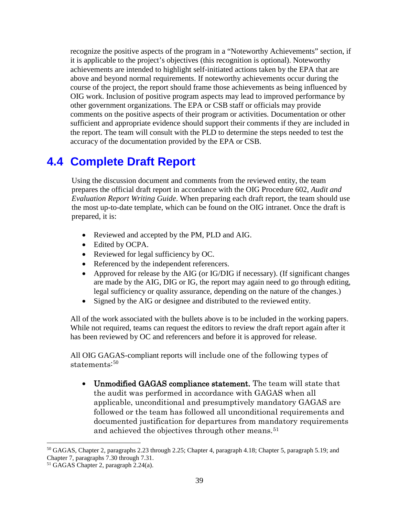recognize the positive aspects of the program in a "Noteworthy Achievements" section, if it is applicable to the project's objectives (this recognition is optional). Noteworthy achievements are intended to highlight self-initiated actions taken by the EPA that are above and beyond normal requirements. If noteworthy achievements occur during the course of the project, the report should frame those achievements as being influenced by OIG work. Inclusion of positive program aspects may lead to improved performance by other government organizations. The EPA or CSB staff or officials may provide comments on the positive aspects of their program or activities. Documentation or other sufficient and appropriate evidence should support their comments if they are included in the report. The team will consult with the PLD to determine the steps needed to test the accuracy of the documentation provided by the EPA or CSB.

## **4.4 Complete Draft Report**

Using the discussion document and comments from the reviewed entity, the team prepares the official draft report in accordance with the OIG Procedure 602, *Audit and Evaluation Report Writing Guide*. When preparing each draft report, the team should use the most up-to-date template, which can be found on the OIG intranet. Once the draft is prepared, it is:

- Reviewed and accepted by the PM, PLD and AIG.
- Edited by OCPA.
- Reviewed for legal sufficiency by OC.
- Referenced by the independent referencers.
- Approved for release by the AIG (or IG/DIG if necessary). (If significant changes are made by the AIG, DIG or IG, the report may again need to go through editing, legal sufficiency or quality assurance, depending on the nature of the changes.)
- Signed by the AIG or designee and distributed to the reviewed entity.

All of the work associated with the bullets above is to be included in the working papers. While not required, teams can request the editors to review the draft report again after it has been reviewed by OC and referencers and before it is approved for release.

All OIG GAGAS-compliant reports will include one of the following types of statements: [50](#page-44-0)

• Unmodified GAGAS compliance statement. The team will state that the audit was performed in accordance with GAGAS when all applicable, unconditional and presumptively mandatory GAGAS are followed or the team has followed all unconditional requirements and documented justification for departures from mandatory requirements and achieved the objectives through other means.<sup>[51](#page-44-1)</sup>

<span id="page-44-0"></span> <sup>50</sup> GAGAS, Chapter 2, paragraphs 2.23 through 2.25; Chapter 4, paragraph 4.18; Chapter 5, paragraph 5.19; and Chapter 7, paragraphs 7.30 through 7.31.

<span id="page-44-1"></span><sup>51</sup> GAGAS Chapter 2, paragraph 2.24(a).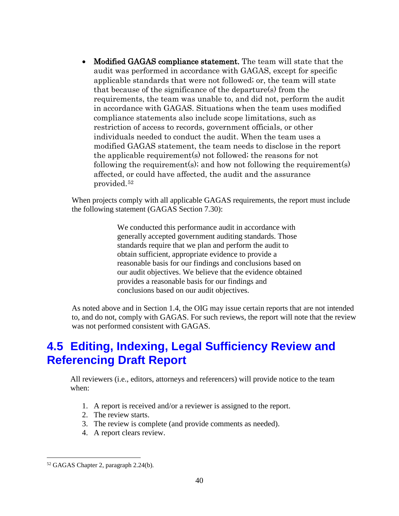• Modified GAGAS compliance statement. The team will state that the audit was performed in accordance with GAGAS, except for specific applicable standards that were not followed; or, the team will state that because of the significance of the departure(s) from the requirements, the team was unable to, and did not, perform the audit in accordance with GAGAS. Situations when the team uses modified compliance statements also include scope limitations, such as restriction of access to records, government officials, or other individuals needed to conduct the audit. When the team uses a modified GAGAS statement, the team needs to disclose in the report the applicable requirement(s) not followed; the reasons for not following the requirement(s); and how not following the requirement(s) affected, or could have affected, the audit and the assurance provided.[52](#page-45-0) 

When projects comply with all applicable GAGAS requirements, the report must include the following statement (GAGAS Section 7.30):

> We conducted this performance audit in accordance with generally accepted government auditing standards. Those standards require that we plan and perform the audit to obtain sufficient, appropriate evidence to provide a reasonable basis for our findings and conclusions based on our audit objectives. We believe that the evidence obtained provides a reasonable basis for our findings and conclusions based on our audit objectives.

As noted above and in Section 1.4, the OIG may issue certain reports that are not intended to, and do not, comply with GAGAS. For such reviews, the report will note that the review was not performed consistent with GAGAS.

## **4.5 Editing, Indexing, Legal Sufficiency Review and Referencing Draft Report**

All reviewers (i.e., editors, attorneys and referencers) will provide notice to the team when:

- 1. A report is received and/or a reviewer is assigned to the report.
- 2. The review starts.
- 3. The review is complete (and provide comments as needed).
- 4. A report clears review.

<span id="page-45-0"></span> <sup>52</sup> GAGAS Chapter 2, paragraph 2.24(b).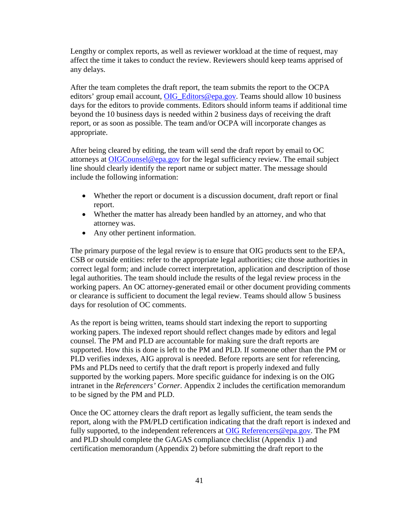Lengthy or complex reports, as well as reviewer workload at the time of request, may affect the time it takes to conduct the review. Reviewers should keep teams apprised of any delays.

After the team completes the draft report, the team submits the report to the OCPA editors' group email account, [OIG\\_Editors@epa.gov.](mailto:OIG_Editors@epa.gov) Teams should allow 10 business days for the editors to provide comments. Editors should inform teams if additional time beyond the 10 business days is needed within 2 business days of receiving the draft report, or as soon as possible. The team and/or OCPA will incorporate changes as appropriate.

After being cleared by editing, the team will send the draft report by email to OC attorneys at [OIGCounsel@epa.gov](mailto:OIGCounsel@epa.gov) for the legal sufficiency review. The email subject line should clearly identify the report name or subject matter. The message should include the following information:

- Whether the report or document is a discussion document, draft report or final report.
- Whether the matter has already been handled by an attorney, and who that attorney was.
- Any other pertinent information.

The primary purpose of the legal review is to ensure that OIG products sent to the EPA, CSB or outside entities: refer to the appropriate legal authorities; cite those authorities in correct legal form; and include correct interpretation, application and description of those legal authorities. The team should include the results of the legal review process in the working papers. An OC attorney-generated email or other document providing comments or clearance is sufficient to document the legal review. Teams should allow 5 business days for resolution of OC comments.

As the report is being written, teams should start indexing the report to supporting working papers. The indexed report should reflect changes made by editors and legal counsel. The PM and PLD are accountable for making sure the draft reports are supported. How this is done is left to the PM and PLD. If someone other than the PM or PLD verifies indexes, AIG approval is needed. Before reports are sent for referencing, PMs and PLDs need to certify that the draft report is properly indexed and fully supported by the working papers. More specific guidance for indexing is on the OIG intranet in the *Referencers' Corner*. Appendix 2 includes the certification memorandum to be signed by the PM and PLD.

Once the OC attorney clears the draft report as legally sufficient, the team sends the report, along with the PM/PLD certification indicating that the draft report is indexed and fully supported, to the independent referencers at OIG [Referencers@epa.gov.](mailto:OIG%C2%A0Referencers@epa.gov) The PM and PLD should complete the GAGAS compliance checklist (Appendix 1) and certification memorandum (Appendix 2) before submitting the draft report to the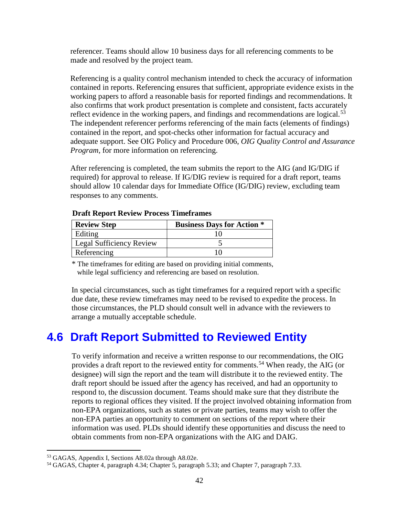referencer. Teams should allow 10 business days for all referencing comments to be made and resolved by the project team.

Referencing is a quality control mechanism intended to check the accuracy of information contained in reports. Referencing ensures that sufficient, appropriate evidence exists in the working papers to afford a reasonable basis for reported findings and recommendations. It also confirms that work product presentation is complete and consistent, facts accurately reflect evidence in the working papers, and findings and recommendations are logical.<sup>[53](#page-47-0)</sup> The independent referencer performs referencing of the main facts (elements of findings) contained in the report, and spot-checks other information for factual accuracy and adequate support. See OIG Policy and Procedure 006, *OIG Quality Control and Assurance Program*, for more information on referencing.

After referencing is completed, the team submits the report to the AIG (and IG/DIG if required) for approval to release. If IG/DIG review is required for a draft report, teams should allow 10 calendar days for Immediate Office (IG/DIG) review, excluding team responses to any comments.

| <b>Review Step</b>              | <b>Business Days for Action *</b> |
|---------------------------------|-----------------------------------|
| Editing                         |                                   |
| <b>Legal Sufficiency Review</b> |                                   |
| Referencing                     |                                   |

#### **Draft Report Review Process Timeframes**

\* The timeframes for editing are based on providing initial comments, while legal sufficiency and referencing are based on resolution.

In special circumstances, such as tight timeframes for a required report with a specific due date, these review timeframes may need to be revised to expedite the process. In those circumstances, the PLD should consult well in advance with the reviewers to arrange a mutually acceptable schedule.

## **4.6 Draft Report Submitted to Reviewed Entity**

To verify information and receive a written response to our recommendations, the OIG provides a draft report to the reviewed entity for comments.[54](#page-47-1) When ready, the AIG (or designee) will sign the report and the team will distribute it to the reviewed entity. The draft report should be issued after the agency has received, and had an opportunity to respond to, the discussion document. Teams should make sure that they distribute the reports to regional offices they visited. If the project involved obtaining information from non-EPA organizations, such as states or private parties, teams may wish to offer the non-EPA parties an opportunity to comment on sections of the report where their information was used. PLDs should identify these opportunities and discuss the need to obtain comments from non-EPA organizations with the AIG and DAIG.

<span id="page-47-0"></span> <sup>53</sup> GAGAS, Appendix I, Sections A8.02a through A8.02e.

<span id="page-47-1"></span><sup>54</sup> GAGAS, Chapter 4, paragraph 4.34; Chapter 5, paragraph 5.33; and Chapter 7, paragraph 7.33.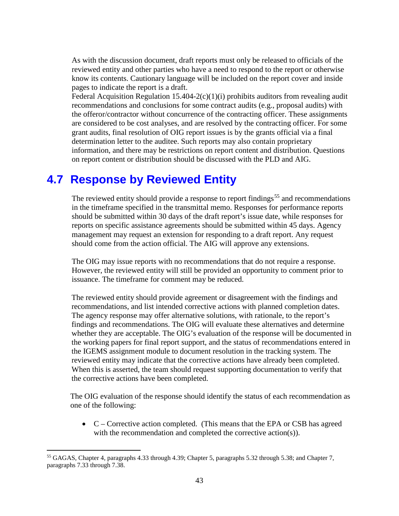As with the discussion document, draft reports must only be released to officials of the reviewed entity and other parties who have a need to respond to the report or otherwise know its contents. Cautionary language will be included on the report cover and inside pages to indicate the report is a draft.

Federal Acquisition Regulation  $15.404 - 2(c)(1)(i)$  prohibits auditors from revealing audit recommendations and conclusions for some contract audits (e.g., proposal audits) with the offeror/contractor without concurrence of the contracting officer. These assignments are considered to be cost analyses, and are resolved by the contracting officer. For some grant audits, final resolution of OIG report issues is by the grants official via a final determination letter to the auditee. Such reports may also contain proprietary information, and there may be restrictions on report content and distribution. Questions on report content or distribution should be discussed with the PLD and AIG.

### **4.7 Response by Reviewed Entity**

The reviewed entity should provide a response to report findings<sup>[55](#page-48-0)</sup> and recommendations in the timeframe specified in the transmittal memo. Responses for performance reports should be submitted within 30 days of the draft report's issue date, while responses for reports on specific assistance agreements should be submitted within 45 days. Agency management may request an extension for responding to a draft report. Any request should come from the action official. The AIG will approve any extensions.

The OIG may issue reports with no recommendations that do not require a response. However, the reviewed entity will still be provided an opportunity to comment prior to issuance. The timeframe for comment may be reduced.

The reviewed entity should provide agreement or disagreement with the findings and recommendations, and list intended corrective actions with planned completion dates. The agency response may offer alternative solutions, with rationale, to the report's findings and recommendations. The OIG will evaluate these alternatives and determine whether they are acceptable. The OIG's evaluation of the response will be documented in the working papers for final report support, and the status of recommendations entered in the IGEMS assignment module to document resolution in the tracking system. The reviewed entity may indicate that the corrective actions have already been completed. When this is asserted, the team should request supporting documentation to verify that the corrective actions have been completed.

The OIG evaluation of the response should identify the status of each recommendation as one of the following:

• C – Corrective action completed. (This means that the EPA or CSB has agreed with the recommendation and completed the corrective action(s)).

<span id="page-48-0"></span> <sup>55</sup> GAGAS, Chapter 4, paragraphs 4.33 through 4.39; Chapter 5, paragraphs 5.32 through 5.38; and Chapter 7, paragraphs 7.33 through 7.38.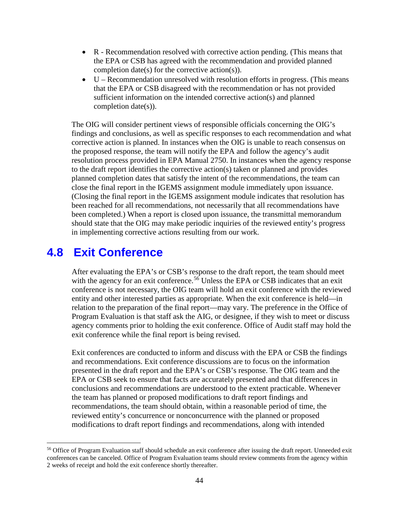- R Recommendation resolved with corrective action pending. (This means that the EPA or CSB has agreed with the recommendation and provided planned completion date(s) for the corrective action(s)).
- U Recommendation unresolved with resolution efforts in progress. (This means that the EPA or CSB disagreed with the recommendation or has not provided sufficient information on the intended corrective action(s) and planned completion date(s)).

The OIG will consider pertinent views of responsible officials concerning the OIG's findings and conclusions, as well as specific responses to each recommendation and what corrective action is planned. In instances when the OIG is unable to reach consensus on the proposed response, the team will notify the EPA and follow the agency's audit resolution process provided in EPA Manual 2750. In instances when the agency response to the draft report identifies the corrective action(s) taken or planned and provides planned completion dates that satisfy the intent of the recommendations, the team can close the final report in the IGEMS assignment module immediately upon issuance. (Closing the final report in the IGEMS assignment module indicates that resolution has been reached for all recommendations, not necessarily that all recommendations have been completed.) When a report is closed upon issuance, the transmittal memorandum should state that the OIG may make periodic inquiries of the reviewed entity's progress in implementing corrective actions resulting from our work.

### **4.8 Exit Conference**

After evaluating the EPA's or CSB's response to the draft report, the team should meet with the agency for an exit conference.<sup>[56](#page-49-0)</sup> Unless the EPA or CSB indicates that an exit conference is not necessary, the OIG team will hold an exit conference with the reviewed entity and other interested parties as appropriate. When the exit conference is held—in relation to the preparation of the final report—may vary. The preference in the Office of Program Evaluation is that staff ask the AIG, or designee, if they wish to meet or discuss agency comments prior to holding the exit conference. Office of Audit staff may hold the exit conference while the final report is being revised.

Exit conferences are conducted to inform and discuss with the EPA or CSB the findings and recommendations. Exit conference discussions are to focus on the information presented in the draft report and the EPA's or CSB's response. The OIG team and the EPA or CSB seek to ensure that facts are accurately presented and that differences in conclusions and recommendations are understood to the extent practicable. Whenever the team has planned or proposed modifications to draft report findings and recommendations, the team should obtain, within a reasonable period of time, the reviewed entity's concurrence or nonconcurrence with the planned or proposed modifications to draft report findings and recommendations, along with intended

<span id="page-49-0"></span><sup>&</sup>lt;sup>56</sup> Office of Program Evaluation staff should schedule an exit conference after issuing the draft report. Unneeded exit conferences can be canceled. Office of Program Evaluation teams should review comments from the agency within 2 weeks of receipt and hold the exit conference shortly thereafter.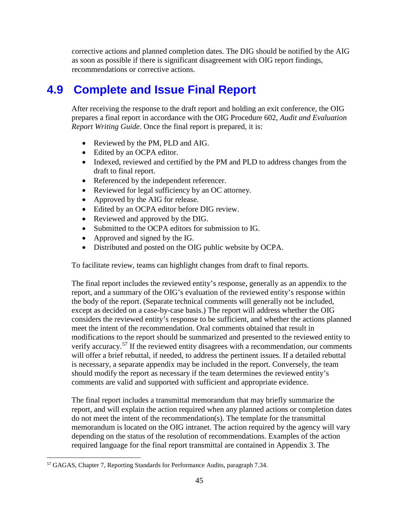corrective actions and planned completion dates. The DIG should be notified by the AIG as soon as possible if there is significant disagreement with OIG report findings, recommendations or corrective actions.

## **4.9 Complete and Issue Final Report**

After receiving the response to the draft report and holding an exit conference, the OIG prepares a final report in accordance with the OIG Procedure 602, *Audit and Evaluation Report Writing Guide*. Once the final report is prepared, it is:

- Reviewed by the PM, PLD and AIG.
- Edited by an OCPA editor.
- Indexed, reviewed and certified by the PM and PLD to address changes from the draft to final report.
- Referenced by the independent referencer.
- Reviewed for legal sufficiency by an OC attorney.
- Approved by the AIG for release.
- Edited by an OCPA editor before DIG review.
- Reviewed and approved by the DIG.
- Submitted to the OCPA editors for submission to IG.
- Approved and signed by the IG.
- Distributed and posted on the OIG public website by OCPA.

To facilitate review, teams can highlight changes from draft to final reports.

The final report includes the reviewed entity's response, generally as an appendix to the report, and a summary of the OIG's evaluation of the reviewed entity's response within the body of the report. (Separate technical comments will generally not be included, except as decided on a case-by-case basis.) The report will address whether the OIG considers the reviewed entity's response to be sufficient, and whether the actions planned meet the intent of the recommendation. Oral comments obtained that result in modifications to the report should be summarized and presented to the reviewed entity to verify accuracy.<sup>[57](#page-50-0)</sup> If the reviewed entity disagrees with a recommendation, our comments will offer a brief rebuttal, if needed, to address the pertinent issues. If a detailed rebuttal is necessary, a separate appendix may be included in the report. Conversely, the team should modify the report as necessary if the team determines the reviewed entity's comments are valid and supported with sufficient and appropriate evidence.

The final report includes a transmittal memorandum that may briefly summarize the report, and will explain the action required when any planned actions or completion dates do not meet the intent of the recommendation(s). The template for the transmittal memorandum is located on the OIG intranet. The action required by the agency will vary depending on the status of the resolution of recommendations. Examples of the action required language for the final report transmittal are contained in Appendix 3. The

<span id="page-50-0"></span> <sup>57</sup> GAGAS, Chapter 7, Reporting Standards for Performance Audits, paragraph 7.34.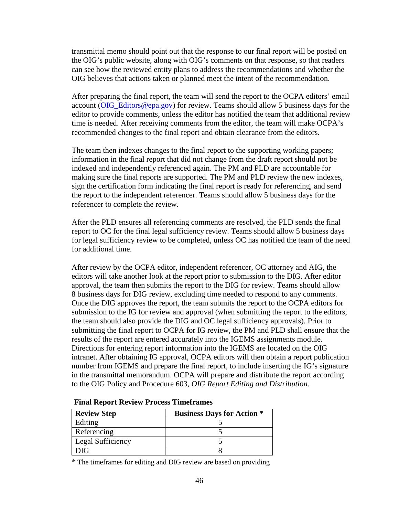transmittal memo should point out that the response to our final report will be posted on the OIG's public website, along with OIG's comments on that response, so that readers can see how the reviewed entity plans to address the recommendations and whether the OIG believes that actions taken or planned meet the intent of the recommendation.

After preparing the final report, the team will send the report to the OCPA editors' email account [\(OIG\\_Editors@epa.gov\)](mailto:OIG_Editors@epa.gov) for review. Teams should allow 5 business days for the editor to provide comments, unless the editor has notified the team that additional review time is needed. After receiving comments from the editor, the team will make OCPA's recommended changes to the final report and obtain clearance from the editors.

The team then indexes changes to the final report to the supporting working papers; information in the final report that did not change from the draft report should not be indexed and independently referenced again. The PM and PLD are accountable for making sure the final reports are supported. The PM and PLD review the new indexes, sign the certification form indicating the final report is ready for referencing, and send the report to the independent referencer. Teams should allow 5 business days for the referencer to complete the review.

After the PLD ensures all referencing comments are resolved, the PLD sends the final report to OC for the final legal sufficiency review. Teams should allow 5 business days for legal sufficiency review to be completed, unless OC has notified the team of the need for additional time.

After review by the OCPA editor, independent referencer, OC attorney and AIG, the editors will take another look at the report prior to submission to the DIG. After editor approval, the team then submits the report to the DIG for review. Teams should allow 8 business days for DIG review, excluding time needed to respond to any comments. Once the DIG approves the report, the team submits the report to the OCPA editors for submission to the IG for review and approval (when submitting the report to the editors, the team should also provide the DIG and OC legal sufficiency approvals). Prior to submitting the final report to OCPA for IG review, the PM and PLD shall ensure that the results of the report are entered accurately into the IGEMS assignments module. Directions for entering report information into the IGEMS are located on the OIG intranet. After obtaining IG approval, OCPA editors will then obtain a report publication number from IGEMS and prepare the final report, to include inserting the IG's signature in the transmittal memorandum. OCPA will prepare and distribute the report according to the OIG Policy and Procedure 603, *OIG Report Editing and Distribution*.

| <b>Review Step</b> | <b>Business Days for Action *</b> |
|--------------------|-----------------------------------|
| Editing            |                                   |
| Referencing        |                                   |
| Legal Sufficiency  |                                   |
| ነIG                |                                   |

#### **Final Report Review Process Timeframes**

\* The timeframes for editing and DIG review are based on providing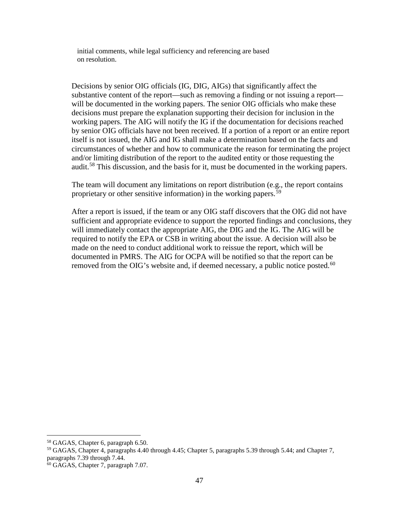initial comments, while legal sufficiency and referencing are based on resolution.

Decisions by senior OIG officials (IG, DIG, AIGs) that significantly affect the substantive content of the report—such as removing a finding or not issuing a report will be documented in the working papers. The senior OIG officials who make these decisions must prepare the explanation supporting their decision for inclusion in the working papers. The AIG will notify the IG if the documentation for decisions reached by senior OIG officials have not been received. If a portion of a report or an entire report itself is not issued, the AIG and IG shall make a determination based on the facts and circumstances of whether and how to communicate the reason for terminating the project and/or limiting distribution of the report to the audited entity or those requesting the audit.<sup>[58](#page-52-0)</sup> This discussion, and the basis for it, must be documented in the working papers.

The team will document any limitations on report distribution (e.g., the report contains proprietary or other sensitive information) in the working papers.<sup>[59](#page-52-1)</sup>

After a report is issued, if the team or any OIG staff discovers that the OIG did not have sufficient and appropriate evidence to support the reported findings and conclusions, they will immediately contact the appropriate AIG, the DIG and the IG. The AIG will be required to notify the EPA or CSB in writing about the issue. A decision will also be made on the need to conduct additional work to reissue the report, which will be documented in PMRS. The AIG for OCPA will be notified so that the report can be removed from the OIG's website and, if deemed necessary, a public notice posted.<sup>[60](#page-52-2)</sup>

<span id="page-52-1"></span><span id="page-52-0"></span><sup>&</sup>lt;sup>58</sup> GAGAS, Chapter 6, paragraph 6.50.<br><sup>59</sup> GAGAS, Chapter 4, paragraphs 4.40 through 4.45; Chapter 5, paragraphs 5.39 through 5.44; and Chapter 7, paragraphs 7.39 through 7.44.

<span id="page-52-2"></span><sup>60</sup> GAGAS, Chapter 7, paragraph 7.07.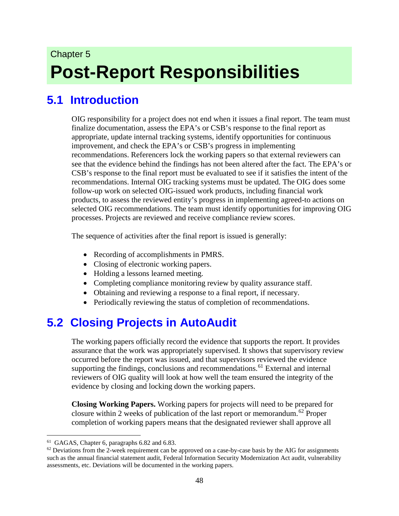# Chapter 5 **Post-Report Responsibilities**

## **5.1 Introduction**

OIG responsibility for a project does not end when it issues a final report. The team must finalize documentation, assess the EPA's or CSB's response to the final report as appropriate, update internal tracking systems, identify opportunities for continuous improvement, and check the EPA's or CSB's progress in implementing recommendations. Referencers lock the working papers so that external reviewers can see that the evidence behind the findings has not been altered after the fact. The EPA's or CSB's response to the final report must be evaluated to see if it satisfies the intent of the recommendations. Internal OIG tracking systems must be updated. The OIG does some follow-up work on selected OIG-issued work products, including financial work products, to assess the reviewed entity's progress in implementing agreed-to actions on selected OIG recommendations. The team must identify opportunities for improving OIG processes. Projects are reviewed and receive compliance review scores.

The sequence of activities after the final report is issued is generally:

- Recording of accomplishments in PMRS.
- Closing of electronic working papers.
- Holding a lessons learned meeting.
- Completing compliance monitoring review by quality assurance staff.
- Obtaining and reviewing a response to a final report, if necessary.
- Periodically reviewing the status of completion of recommendations.

## **5.2 Closing Projects in AutoAudit**

The working papers officially record the evidence that supports the report. It provides assurance that the work was appropriately supervised. It shows that supervisory review occurred before the report was issued, and that supervisors reviewed the evidence supporting the findings, conclusions and recommendations.<sup>[61](#page-53-0)</sup> External and internal reviewers of OIG quality will look at how well the team ensured the integrity of the evidence by closing and locking down the working papers.

**Closing Working Papers.** Working papers for projects will need to be prepared for closure within 2 weeks of publication of the last report or memorandum.<sup>[62](#page-53-1)</sup> Proper completion of working papers means that the designated reviewer shall approve all

<span id="page-53-0"></span> <sup>61</sup> GAGAS, Chapter 6, paragraphs 6.82 and 6.83.

<span id="page-53-1"></span> $62$  Deviations from the 2-week requirement can be approved on a case-by-case basis by the AIG for assignments such as the annual financial statement audit, Federal Information Security Modernization Act audit, vulnerability assessments, etc. Deviations will be documented in the working papers.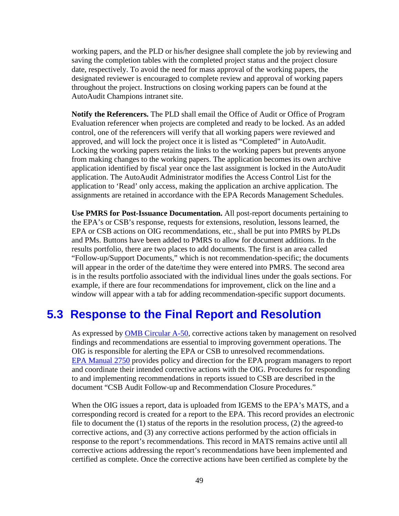working papers, and the PLD or his/her designee shall complete the job by reviewing and saving the completion tables with the completed project status and the project closure date, respectively. To avoid the need for mass approval of the working papers, the designated reviewer is encouraged to complete review and approval of working papers throughout the project. Instructions on closing working papers can be found at the AutoAudit Champions intranet site.

**Notify the Referencers.** The PLD shall email the Office of Audit or Office of Program Evaluation referencer when projects are completed and ready to be locked. As an added control, one of the referencers will verify that all working papers were reviewed and approved, and will lock the project once it is listed as "Completed" in AutoAudit. Locking the working papers retains the links to the working papers but prevents anyone from making changes to the working papers. The application becomes its own archive application identified by fiscal year once the last assignment is locked in the AutoAudit application. The AutoAudit Administrator modifies the Access Control List for the application to 'Read' only access, making the application an archive application. The assignments are retained in accordance with the EPA Records Management Schedules.

**Use PMRS for Post-Issuance Documentation.** All post-report documents pertaining to the EPA's or CSB's response, requests for extensions, resolution, lessons learned, the EPA or CSB actions on OIG recommendations, etc., shall be put into PMRS by PLDs and PMs. Buttons have been added to PMRS to allow for document additions. In the results portfolio, there are two places to add documents. The first is an area called "Follow-up/Support Documents," which is not recommendation-specific; the documents will appear in the order of the date/time they were entered into PMRS. The second area is in the results portfolio associated with the individual lines under the goals sections. For example, if there are four recommendations for improvement, click on the line and a window will appear with a tab for adding recommendation-specific support documents.

### **5.3 Response to the Final Report and Resolution**

As expressed by [OMB Circular A-50,](https://www.whitehouse.gov/omb/circulars_a050) corrective actions taken by management on resolved findings and recommendations are essential to improving government operations. The OIG is responsible for alerting the EPA or CSB to unresolved recommendations. EPA [Manual 2750](http://intranet.epa.gov/ocfo/perform/pdfs/audit/manual_2750-audit_management_procedures.pdf) provides policy and direction for the EPA program managers to report and coordinate their intended corrective actions with the OIG. Procedures for responding to and implementing recommendations in reports issued to CSB are described in the document "CSB Audit Follow-up and Recommendation Closure Procedures."

When the OIG issues a report, data is uploaded from IGEMS to the EPA's MATS, and a corresponding record is created for a report to the EPA. This record provides an electronic file to document the (1) status of the reports in the resolution process, (2) the agreed-to corrective actions, and (3) any corrective actions performed by the action officials in response to the report's recommendations. This record in MATS remains active until all corrective actions addressing the report's recommendations have been implemented and certified as complete. Once the corrective actions have been certified as complete by the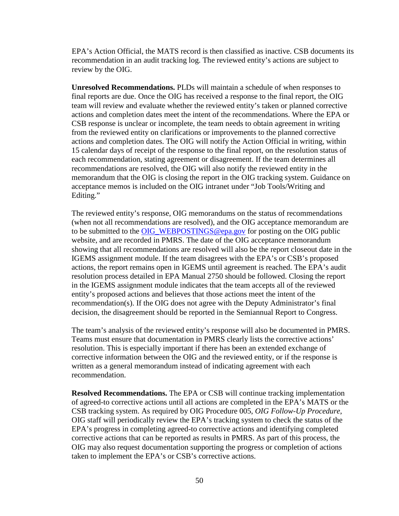EPA's Action Official, the MATS record is then classified as inactive. CSB documents its recommendation in an audit tracking log. The reviewed entity's actions are subject to review by the OIG.

**Unresolved Recommendations.** PLDs will maintain a schedule of when responses to final reports are due. Once the OIG has received a response to the final report, the OIG team will review and evaluate whether the reviewed entity's taken or planned corrective actions and completion dates meet the intent of the recommendations. Where the EPA or CSB response is unclear or incomplete, the team needs to obtain agreement in writing from the reviewed entity on clarifications or improvements to the planned corrective actions and completion dates. The OIG will notify the Action Official in writing, within 15 calendar days of receipt of the response to the final report, on the resolution status of each recommendation, stating agreement or disagreement. If the team determines all recommendations are resolved, the OIG will also notify the reviewed entity in the memorandum that the OIG is closing the report in the OIG tracking system. Guidance on acceptance memos is included on the OIG intranet under "Job Tools/Writing and Editing."

The reviewed entity's response, OIG memorandums on the status of recommendations (when not all recommendations are resolved), and the OIG acceptance memorandum are to be submitted to the [OIG\\_WEBPOSTINGS@epa.gov](mailto:OIG_WEBPOSTINGS@epa.gov) for posting on the OIG public website, and are recorded in PMRS. The date of the OIG acceptance memorandum showing that all recommendations are resolved will also be the report closeout date in the IGEMS assignment module. If the team disagrees with the EPA's or CSB's proposed actions, the report remains open in IGEMS until agreement is reached. The EPA's audit resolution process detailed in EPA Manual 2750 should be followed. Closing the report in the IGEMS assignment module indicates that the team accepts all of the reviewed entity's proposed actions and believes that those actions meet the intent of the recommendation(s). If the OIG does not agree with the Deputy Administrator's final decision, the disagreement should be reported in the Semiannual Report to Congress.

The team's analysis of the reviewed entity's response will also be documented in PMRS. Teams must ensure that documentation in PMRS clearly lists the corrective actions' resolution. This is especially important if there has been an extended exchange of corrective information between the OIG and the reviewed entity, or if the response is written as a general memorandum instead of indicating agreement with each recommendation.

**Resolved Recommendations.** The EPA or CSB will continue tracking implementation of agreed-to corrective actions until all actions are completed in the EPA's MATS or the CSB tracking system. As required by OIG Procedure 005, *OIG Follow-Up Procedure*, OIG staff will periodically review the EPA's tracking system to check the status of the EPA's progress in completing agreed-to corrective actions and identifying completed corrective actions that can be reported as results in PMRS. As part of this process, the OIG may also request documentation supporting the progress or completion of actions taken to implement the EPA's or CSB's corrective actions.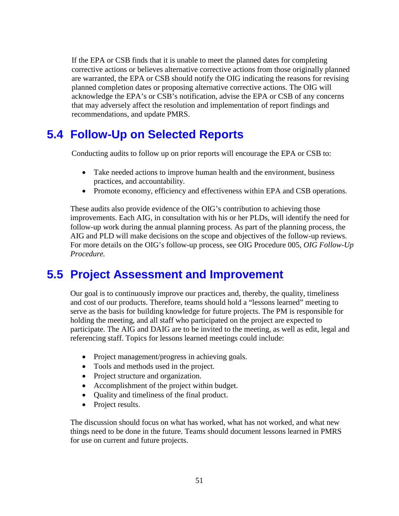If the EPA or CSB finds that it is unable to meet the planned dates for completing corrective actions or believes alternative corrective actions from those originally planned are warranted, the EPA or CSB should notify the OIG indicating the reasons for revising planned completion dates or proposing alternative corrective actions. The OIG will acknowledge the EPA's or CSB's notification, advise the EPA or CSB of any concerns that may adversely affect the resolution and implementation of report findings and recommendations, and update PMRS.

## **5.4 Follow-Up on Selected Reports**

Conducting audits to follow up on prior reports will encourage the EPA or CSB to:

- Take needed actions to improve human health and the environment, business practices, and accountability.
- Promote economy, efficiency and effectiveness within EPA and CSB operations.

These audits also provide evidence of the OIG's contribution to achieving those improvements. Each AIG, in consultation with his or her PLDs, will identify the need for follow-up work during the annual planning process. As part of the planning process, the AIG and PLD will make decisions on the scope and objectives of the follow-up reviews. For more details on the OIG's follow-up process, see OIG Procedure 005, *OIG Follow-Up Procedure.*

### **5.5 Project Assessment and Improvement**

Our goal is to continuously improve our practices and, thereby, the quality, timeliness and cost of our products. Therefore, teams should hold a "lessons learned" meeting to serve as the basis for building knowledge for future projects. The PM is responsible for holding the meeting, and all staff who participated on the project are expected to participate. The AIG and DAIG are to be invited to the meeting, as well as edit, legal and referencing staff. Topics for lessons learned meetings could include:

- Project management/progress in achieving goals.
- Tools and methods used in the project.
- Project structure and organization.
- Accomplishment of the project within budget.
- Quality and timeliness of the final product.
- Project results.

The discussion should focus on what has worked, what has not worked, and what new things need to be done in the future. Teams should document lessons learned in PMRS for use on current and future projects.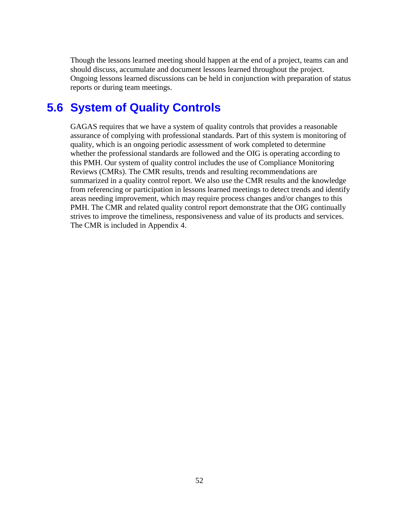Though the lessons learned meeting should happen at the end of a project, teams can and should discuss, accumulate and document lessons learned throughout the project. Ongoing lessons learned discussions can be held in conjunction with preparation of status reports or during team meetings.

## **5.6 System of Quality Controls**

GAGAS requires that we have a system of quality controls that provides a reasonable assurance of complying with professional standards. Part of this system is monitoring of quality, which is an ongoing periodic assessment of work completed to determine whether the professional standards are followed and the OIG is operating according to this PMH. Our system of quality control includes the use of Compliance Monitoring Reviews (CMRs). The CMR results, trends and resulting recommendations are summarized in a quality control report. We also use the CMR results and the knowledge from referencing or participation in lessons learned meetings to detect trends and identify areas needing improvement, which may require process changes and/or changes to this PMH. The CMR and related quality control report demonstrate that the OIG continually strives to improve the timeliness, responsiveness and value of its products and services. The CMR is included in Appendix 4.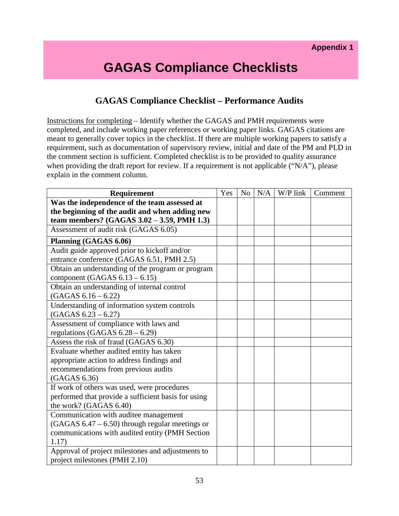## **GAGAS Compliance Checklists**

#### **GAGAS Compliance Checklist – Performance Audits**

Instructions for completing – Identify whether the GAGAS and PMH requirements were completed, and include working paper references or working paper links. GAGAS citations are meant to generally cover topics in the checklist. If there are multiple working papers to satisfy a requirement, such as documentation of supervisory review, initial and date of the PM and PLD in the comment section is sufficient. Completed checklist is to be provided to quality assurance when providing the draft report for review. If a requirement is not applicable ("N/A"), please explain in the comment column.

| <b>Requirement</b>                                  | Yes | N <sub>o</sub> | N/A | W/P link | Comment |
|-----------------------------------------------------|-----|----------------|-----|----------|---------|
| Was the independence of the team assessed at        |     |                |     |          |         |
| the beginning of the audit and when adding new      |     |                |     |          |         |
| team members? (GAGAS 3.02 - 3.59, PMH 1.3)          |     |                |     |          |         |
| Assessment of audit risk (GAGAS 6.05)               |     |                |     |          |         |
| Planning (GAGAS 6.06)                               |     |                |     |          |         |
| Audit guide approved prior to kickoff and/or        |     |                |     |          |         |
| entrance conference (GAGAS 6.51, PMH 2.5)           |     |                |     |          |         |
| Obtain an understanding of the program or program   |     |                |     |          |         |
| component (GAGAS $6.13 - 6.15$ )                    |     |                |     |          |         |
| Obtain an understanding of internal control         |     |                |     |          |         |
| $(GAGAS 6.16 - 6.22)$                               |     |                |     |          |         |
| Understanding of information system controls        |     |                |     |          |         |
| $(GAGAS 6.23 - 6.27)$                               |     |                |     |          |         |
| Assessment of compliance with laws and              |     |                |     |          |         |
| regulations (GAGAS $6.28 - 6.29$ )                  |     |                |     |          |         |
| Assess the risk of fraud (GAGAS 6.30)               |     |                |     |          |         |
| Evaluate whether audited entity has taken           |     |                |     |          |         |
| appropriate action to address findings and          |     |                |     |          |         |
| recommendations from previous audits                |     |                |     |          |         |
| (GAGAS 6.36)                                        |     |                |     |          |         |
| If work of others was used, were procedures         |     |                |     |          |         |
| performed that provide a sufficient basis for using |     |                |     |          |         |
| the work? (GAGAS 6.40)                              |     |                |     |          |         |
| Communication with auditee management               |     |                |     |          |         |
| $(GAGAS 6.47 - 6.50)$ through regular meetings or   |     |                |     |          |         |
| communications with audited entity (PMH Section     |     |                |     |          |         |
| 1.17)                                               |     |                |     |          |         |
| Approval of project milestones and adjustments to   |     |                |     |          |         |
| project milestones (PMH 2.10)                       |     |                |     |          |         |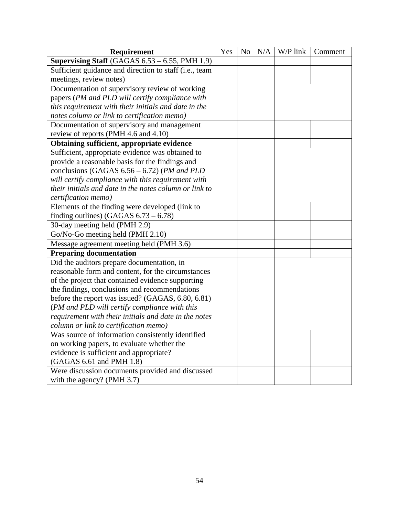| Requirement                                            | Yes | No | N/A | $\overline{W}/P$ link | Comment |
|--------------------------------------------------------|-----|----|-----|-----------------------|---------|
| Supervising Staff (GAGAS 6.53 - 6.55, PMH 1.9)         |     |    |     |                       |         |
| Sufficient guidance and direction to staff (i.e., team |     |    |     |                       |         |
| meetings, review notes)                                |     |    |     |                       |         |
| Documentation of supervisory review of working         |     |    |     |                       |         |
| papers (PM and PLD will certify compliance with        |     |    |     |                       |         |
| this requirement with their initials and date in the   |     |    |     |                       |         |
| notes column or link to certification memo)            |     |    |     |                       |         |
| Documentation of supervisory and management            |     |    |     |                       |         |
| review of reports (PMH 4.6 and 4.10)                   |     |    |     |                       |         |
| Obtaining sufficient, appropriate evidence             |     |    |     |                       |         |
| Sufficient, appropriate evidence was obtained to       |     |    |     |                       |         |
| provide a reasonable basis for the findings and        |     |    |     |                       |         |
| conclusions (GAGAS 6.56 - 6.72) (PM and PLD            |     |    |     |                       |         |
| will certify compliance with this requirement with     |     |    |     |                       |         |
| their initials and date in the notes column or link to |     |    |     |                       |         |
| certification memo)                                    |     |    |     |                       |         |
| Elements of the finding were developed (link to        |     |    |     |                       |         |
| finding outlines) (GAGAS $6.73 - 6.78$ )               |     |    |     |                       |         |
| 30-day meeting held (PMH 2.9)                          |     |    |     |                       |         |
| Go/No-Go meeting held (PMH 2.10)                       |     |    |     |                       |         |
| Message agreement meeting held (PMH 3.6)               |     |    |     |                       |         |
| <b>Preparing documentation</b>                         |     |    |     |                       |         |
| Did the auditors prepare documentation, in             |     |    |     |                       |         |
| reasonable form and content, for the circumstances     |     |    |     |                       |         |
| of the project that contained evidence supporting      |     |    |     |                       |         |
| the findings, conclusions and recommendations          |     |    |     |                       |         |
| before the report was issued? (GAGAS, 6.80, 6.81)      |     |    |     |                       |         |
| (PM and PLD will certify compliance with this          |     |    |     |                       |         |
| requirement with their initials and date in the notes  |     |    |     |                       |         |
| column or link to certification memo)                  |     |    |     |                       |         |
| Was source of information consistently identified      |     |    |     |                       |         |
| on working papers, to evaluate whether the             |     |    |     |                       |         |
| evidence is sufficient and appropriate?                |     |    |     |                       |         |
| (GAGAS 6.61 and PMH 1.8)                               |     |    |     |                       |         |
| Were discussion documents provided and discussed       |     |    |     |                       |         |
| with the agency? (PMH 3.7)                             |     |    |     |                       |         |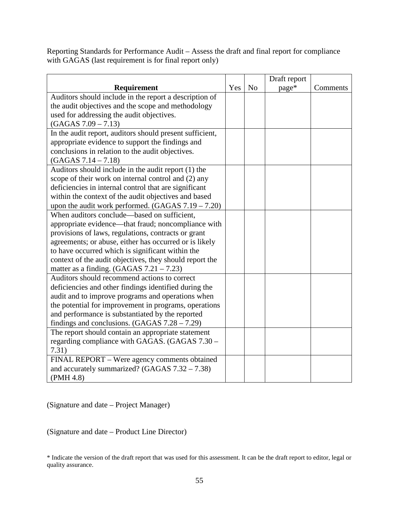Reporting Standards for Performance Audit – Assess the draft and final report for compliance with GAGAS (last requirement is for final report only)

|                                                          |     |                | Draft report |          |
|----------------------------------------------------------|-----|----------------|--------------|----------|
| Requirement                                              | Yes | N <sub>o</sub> | page*        | Comments |
| Auditors should include in the report a description of   |     |                |              |          |
| the audit objectives and the scope and methodology       |     |                |              |          |
| used for addressing the audit objectives.                |     |                |              |          |
| $(GAGAS 7.09 - 7.13)$                                    |     |                |              |          |
| In the audit report, auditors should present sufficient, |     |                |              |          |
| appropriate evidence to support the findings and         |     |                |              |          |
| conclusions in relation to the audit objectives.         |     |                |              |          |
| $(GAGAS 7.14 - 7.18)$                                    |     |                |              |          |
| Auditors should include in the audit report (1) the      |     |                |              |          |
| scope of their work on internal control and (2) any      |     |                |              |          |
| deficiencies in internal control that are significant    |     |                |              |          |
| within the context of the audit objectives and based     |     |                |              |          |
| upon the audit work performed. $(GAGAS 7.19 - 7.20)$     |     |                |              |          |
| When auditors conclude—based on sufficient,              |     |                |              |          |
| appropriate evidence—that fraud; noncompliance with      |     |                |              |          |
| provisions of laws, regulations, contracts or grant      |     |                |              |          |
| agreements; or abuse, either has occurred or is likely   |     |                |              |          |
| to have occurred which is significant within the         |     |                |              |          |
| context of the audit objectives, they should report the  |     |                |              |          |
| matter as a finding. $(GAGAS 7.21 - 7.23)$               |     |                |              |          |
| Auditors should recommend actions to correct             |     |                |              |          |
| deficiencies and other findings identified during the    |     |                |              |          |
| audit and to improve programs and operations when        |     |                |              |          |
| the potential for improvement in programs, operations    |     |                |              |          |
| and performance is substantiated by the reported         |     |                |              |          |
| findings and conclusions. $(GAGAS 7.28 - 7.29)$          |     |                |              |          |
| The report should contain an appropriate statement       |     |                |              |          |
| regarding compliance with GAGAS. (GAGAS 7.30 –           |     |                |              |          |
| 7.31)                                                    |     |                |              |          |
| FINAL REPORT - Were agency comments obtained             |     |                |              |          |
| and accurately summarized? (GAGAS $7.32 - 7.38$ )        |     |                |              |          |
| (PMH 4.8)                                                |     |                |              |          |

(Signature and date – Project Manager)

(Signature and date – Product Line Director)

\* Indicate the version of the draft report that was used for this assessment. It can be the draft report to editor, legal or quality assurance.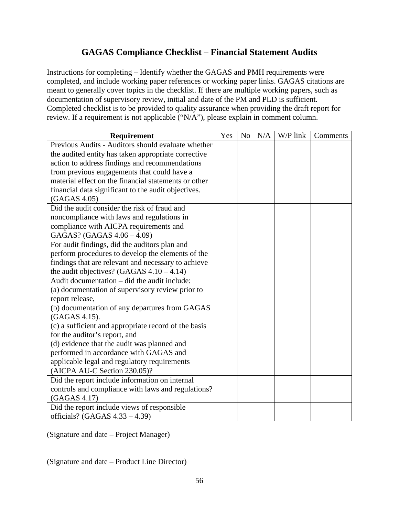#### **GAGAS Compliance Checklist – Financial Statement Audits**

Instructions for completing – Identify whether the GAGAS and PMH requirements were completed, and include working paper references or working paper links. GAGAS citations are meant to generally cover topics in the checklist. If there are multiple working papers, such as documentation of supervisory review, initial and date of the PM and PLD is sufficient. Completed checklist is to be provided to quality assurance when providing the draft report for review. If a requirement is not applicable ("N/A"), please explain in comment column.

| <b>Requirement</b>                                   | Yes | N <sub>o</sub> | N/A | W/P link | Comments |
|------------------------------------------------------|-----|----------------|-----|----------|----------|
| Previous Audits - Auditors should evaluate whether   |     |                |     |          |          |
| the audited entity has taken appropriate corrective  |     |                |     |          |          |
| action to address findings and recommendations       |     |                |     |          |          |
| from previous engagements that could have a          |     |                |     |          |          |
| material effect on the financial statements or other |     |                |     |          |          |
| financial data significant to the audit objectives.  |     |                |     |          |          |
| (GAGAS 4.05)                                         |     |                |     |          |          |
| Did the audit consider the risk of fraud and         |     |                |     |          |          |
| noncompliance with laws and regulations in           |     |                |     |          |          |
| compliance with AICPA requirements and               |     |                |     |          |          |
| GAGAS? (GAGAS 4.06 - 4.09)                           |     |                |     |          |          |
| For audit findings, did the auditors plan and        |     |                |     |          |          |
| perform procedures to develop the elements of the    |     |                |     |          |          |
| findings that are relevant and necessary to achieve  |     |                |     |          |          |
| the audit objectives? (GAGAS $4.10 - 4.14$ )         |     |                |     |          |          |
| Audit documentation – did the audit include:         |     |                |     |          |          |
| (a) documentation of supervisory review prior to     |     |                |     |          |          |
| report release,                                      |     |                |     |          |          |
| (b) documentation of any departures from GAGAS       |     |                |     |          |          |
| (GAGAS 4.15).                                        |     |                |     |          |          |
| (c) a sufficient and appropriate record of the basis |     |                |     |          |          |
| for the auditor's report, and                        |     |                |     |          |          |
| (d) evidence that the audit was planned and          |     |                |     |          |          |
| performed in accordance with GAGAS and               |     |                |     |          |          |
| applicable legal and regulatory requirements         |     |                |     |          |          |
| (AICPA AU-C Section 230.05)?                         |     |                |     |          |          |
| Did the report include information on internal       |     |                |     |          |          |
| controls and compliance with laws and regulations?   |     |                |     |          |          |
| (GAGAS 4.17)                                         |     |                |     |          |          |
| Did the report include views of responsible          |     |                |     |          |          |
| officials? (GAGAS $4.33 - 4.39$ )                    |     |                |     |          |          |

(Signature and date – Project Manager)

(Signature and date – Product Line Director)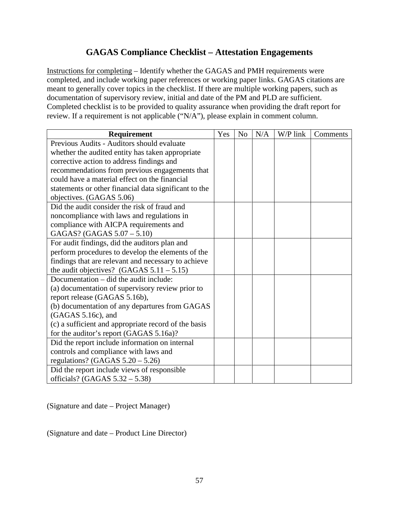#### **GAGAS Compliance Checklist – Attestation Engagements**

Instructions for completing – Identify whether the GAGAS and PMH requirements were completed, and include working paper references or working paper links. GAGAS citations are meant to generally cover topics in the checklist. If there are multiple working papers, such as documentation of supervisory review, initial and date of the PM and PLD are sufficient. Completed checklist is to be provided to quality assurance when providing the draft report for review. If a requirement is not applicable ("N/A"), please explain in comment column.

| Requirement                                           | Yes | N <sub>o</sub> | N/A | W/P link | Comments |
|-------------------------------------------------------|-----|----------------|-----|----------|----------|
| Previous Audits - Auditors should evaluate            |     |                |     |          |          |
| whether the audited entity has taken appropriate      |     |                |     |          |          |
| corrective action to address findings and             |     |                |     |          |          |
| recommendations from previous engagements that        |     |                |     |          |          |
| could have a material effect on the financial         |     |                |     |          |          |
| statements or other financial data significant to the |     |                |     |          |          |
| objectives. (GAGAS 5.06)                              |     |                |     |          |          |
| Did the audit consider the risk of fraud and          |     |                |     |          |          |
| noncompliance with laws and regulations in            |     |                |     |          |          |
| compliance with AICPA requirements and                |     |                |     |          |          |
| GAGAS? (GAGAS 5.07 - 5.10)                            |     |                |     |          |          |
| For audit findings, did the auditors plan and         |     |                |     |          |          |
| perform procedures to develop the elements of the     |     |                |     |          |          |
| findings that are relevant and necessary to achieve   |     |                |     |          |          |
| the audit objectives? $(GAGAS 5.11 - 5.15)$           |     |                |     |          |          |
| Documentation – did the audit include:                |     |                |     |          |          |
| (a) documentation of supervisory review prior to      |     |                |     |          |          |
| report release (GAGAS 5.16b),                         |     |                |     |          |          |
| (b) documentation of any departures from GAGAS        |     |                |     |          |          |
| (GAGAS 5.16c), and                                    |     |                |     |          |          |
| (c) a sufficient and appropriate record of the basis  |     |                |     |          |          |
| for the auditor's report (GAGAS 5.16a)?               |     |                |     |          |          |
| Did the report include information on internal        |     |                |     |          |          |
| controls and compliance with laws and                 |     |                |     |          |          |
| regulations? (GAGAS $5.20 - 5.26$ )                   |     |                |     |          |          |
| Did the report include views of responsible           |     |                |     |          |          |
| officials? (GAGAS $5.32 - 5.38$ )                     |     |                |     |          |          |

(Signature and date – Project Manager)

(Signature and date – Product Line Director)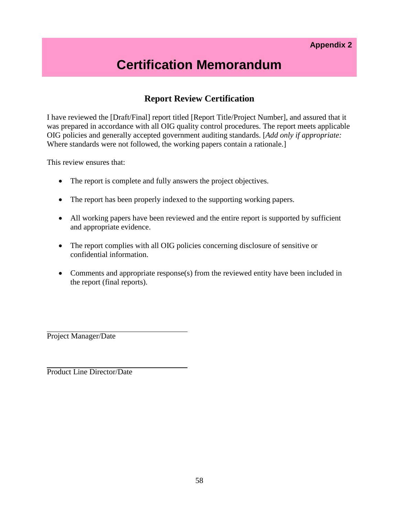## **Certification Memorandum**

#### **Report Review Certification**

I have reviewed the [Draft/Final] report titled [Report Title/Project Number], and assured that it was prepared in accordance with all OIG quality control procedures. The report meets applicable OIG policies and generally accepted government auditing standards. [*Add only if appropriate:* Where standards were not followed, the working papers contain a rationale.

This review ensures that:

- The report is complete and fully answers the project objectives.
- The report has been properly indexed to the supporting working papers.
- All working papers have been reviewed and the entire report is supported by sufficient and appropriate evidence.
- The report complies with all OIG policies concerning disclosure of sensitive or confidential information.
- Comments and appropriate response(s) from the reviewed entity have been included in the report (final reports).

Project Manager/Date

Product Line Director/Date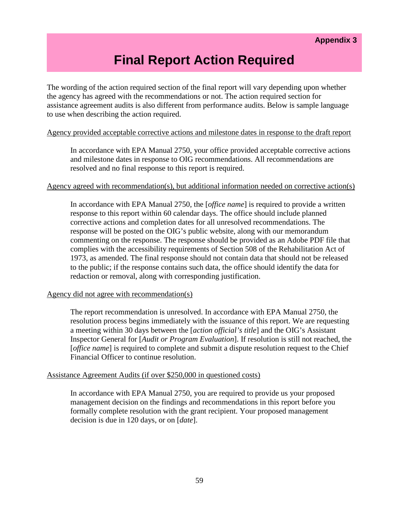## **Final Report Action Required**

The wording of the action required section of the final report will vary depending upon whether the agency has agreed with the recommendations or not. The action required section for assistance agreement audits is also different from performance audits. Below is sample language to use when describing the action required.

#### Agency provided acceptable corrective actions and milestone dates in response to the draft report

In accordance with EPA Manual 2750, your office provided acceptable corrective actions and milestone dates in response to OIG recommendations. All recommendations are resolved and no final response to this report is required.

#### Agency agreed with recommendation(s), but additional information needed on corrective action(s)

In accordance with EPA Manual 2750, the [*office name*] is required to provide a written response to this report within 60 calendar days. The office should include planned corrective actions and completion dates for all unresolved recommendations. The response will be posted on the OIG's public website, along with our memorandum commenting on the response. The response should be provided as an Adobe PDF file that complies with the accessibility requirements of Section 508 of the Rehabilitation Act of 1973, as amended. The final response should not contain data that should not be released to the public; if the response contains such data, the office should identify the data for redaction or removal, along with corresponding justification.

#### Agency did not agree with recommendation(s)

The report recommendation is unresolved. In accordance with EPA Manual 2750, the resolution process begins immediately with the issuance of this report. We are requesting a meeting within 30 days between the [*action official's title*] and the OIG's Assistant Inspector General for [*Audit or Program Evaluation*]. If resolution is still not reached, the [*office name*] is required to complete and submit a dispute resolution request to the Chief Financial Officer to continue resolution.

#### Assistance Agreement Audits (if over \$250,000 in questioned costs)

In accordance with EPA Manual 2750, you are required to provide us your proposed management decision on the findings and recommendations in this report before you formally complete resolution with the grant recipient. Your proposed management decision is due in 120 days, or on [*date*].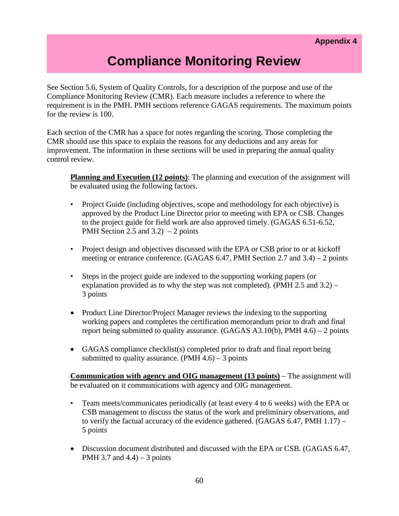## **Compliance Monitoring Review**

See Section 5.6, System of Quality Controls, for a description of the purpose and use of the Compliance Monitoring Review (CMR). Each measure includes a reference to where the requirement is in the PMH. PMH sections reference GAGAS requirements. The maximum points for the review is 100.

Each section of the CMR has a space for notes regarding the scoring. Those completing the CMR should use this space to explain the reasons for any deductions and any areas for improvement. The information in these sections will be used in preparing the annual quality control review.

**Planning and Execution (12 points)**: The planning and execution of the assignment will be evaluated using the following factors.

- Project Guide (including objectives, scope and methodology for each objective) is approved by the Product Line Director prior to meeting with EPA or CSB. Changes to the project guide for field work are also approved timely. (GAGAS 6.51-6.52, PMH Section 2.5 and  $3.2$ ) – 2 points
- Project design and objectives discussed with the EPA or CSB prior to or at kickoff meeting or entrance conference. (GAGAS 6.47, PMH Section 2.7 and 3.4) – 2 points
- Steps in the project guide are indexed to the supporting working papers (or explanation provided as to why the step was not completed). (PMH 2.5 and 3.2) – 3 points
- Product Line Director/Project Manager reviews the indexing to the supporting working papers and completes the certification memorandum prior to draft and final report being submitted to quality assurance. (GAGAS  $A3.10(b)$ , PMH 4.6) – 2 points
- GAGAS compliance checklist(s) completed prior to draft and final report being submitted to quality assurance.  $(PMH 4.6) - 3$  points

**Communication with agency and OIG management (13 points)** – The assignment will be evaluated on it communications with agency and OIG management.

- Team meets/communicates periodically (at least every 4 to 6 weeks) with the EPA or CSB management to discuss the status of the work and preliminary observations, and to verify the factual accuracy of the evidence gathered. (GAGAS 6.47, PMH 1.17) – 5 points
- Discussion document distributed and discussed with the EPA or CSB. (GAGAS 6.47, PMH 3.7 and  $4.4$ ) – 3 points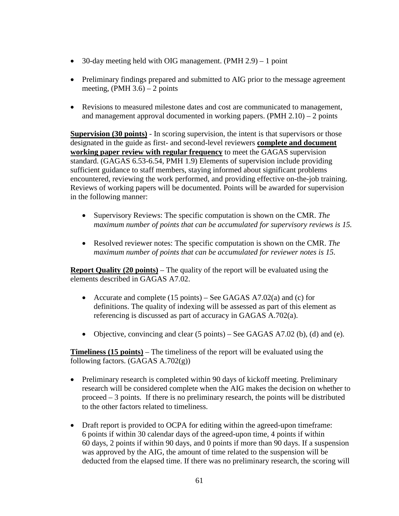- 30-day meeting held with OIG management. (PMH 2.9) 1 point
- Preliminary findings prepared and submitted to AIG prior to the message agreement meeting,  $(PMH 3.6) - 2$  points
- Revisions to measured milestone dates and cost are communicated to management, and management approval documented in working papers.  $(PMH 2.10) - 2$  points

**Supervision (30 points)** - In scoring supervision, the intent is that supervisors or those designated in the guide as first- and second-level reviewers **complete and document working paper review with regular frequency** to meet the GAGAS supervision standard. (GAGAS 6.53-6.54, PMH 1.9) Elements of supervision include providing sufficient guidance to staff members, staying informed about significant problems encountered, reviewing the work performed, and providing effective on-the-job training. Reviews of working papers will be documented. Points will be awarded for supervision in the following manner:

- Supervisory Reviews: The specific computation is shown on the CMR. *The maximum number of points that can be accumulated for supervisory reviews is 15.*
- Resolved reviewer notes: The specific computation is shown on the CMR. *The maximum number of points that can be accumulated for reviewer notes is 15.*

**Report Quality (20 points)** – The quality of the report will be evaluated using the elements described in GAGAS A7.02.

- Accurate and complete (15 points) See GAGAS A7.02(a) and (c) for definitions. The quality of indexing will be assessed as part of this element as referencing is discussed as part of accuracy in GAGAS A.702(a).
- Objective, convincing and clear  $(5 \text{ points})$  See GAGAS A7.02 (b), (d) and (e).

**Timeliness (15 points)** – The timeliness of the report will be evaluated using the following factors. (GAGAS A.702(g))

- Preliminary research is completed within 90 days of kickoff meeting. Preliminary research will be considered complete when the AIG makes the decision on whether to proceed – 3 points. If there is no preliminary research, the points will be distributed to the other factors related to timeliness.
- Draft report is provided to OCPA for editing within the agreed-upon timeframe: 6 points if within 30 calendar days of the agreed-upon time, 4 points if within 60 days, 2 points if within 90 days, and 0 points if more than 90 days. If a suspension was approved by the AIG, the amount of time related to the suspension will be deducted from the elapsed time. If there was no preliminary research, the scoring will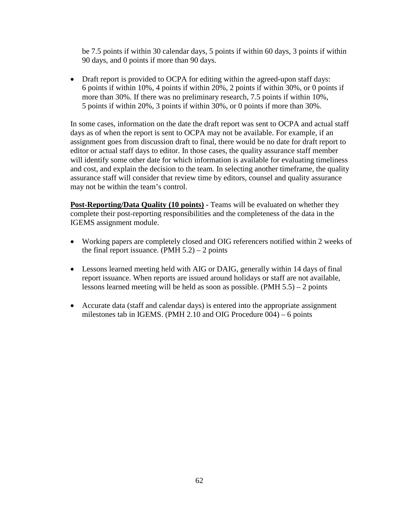be 7.5 points if within 30 calendar days, 5 points if within 60 days, 3 points if within 90 days, and 0 points if more than 90 days.

• Draft report is provided to OCPA for editing within the agreed-upon staff days: 6 points if within 10%, 4 points if within 20%, 2 points if within 30%, or 0 points if more than 30%. If there was no preliminary research, 7.5 points if within 10%, 5 points if within 20%, 3 points if within 30%, or 0 points if more than 30%.

In some cases, information on the date the draft report was sent to OCPA and actual staff days as of when the report is sent to OCPA may not be available. For example, if an assignment goes from discussion draft to final, there would be no date for draft report to editor or actual staff days to editor. In those cases, the quality assurance staff member will identify some other date for which information is available for evaluating timeliness and cost, and explain the decision to the team. In selecting another timeframe, the quality assurance staff will consider that review time by editors, counsel and quality assurance may not be within the team's control.

**Post-Reporting/Data Quality (10 points) -** Teams will be evaluated on whether they complete their post-reporting responsibilities and the completeness of the data in the IGEMS assignment module.

- Working papers are completely closed and OIG referencers notified within 2 weeks of the final report issuance. (PMH  $5.2$ ) – 2 points
- Lessons learned meeting held with AIG or DAIG, generally within 14 days of final report issuance. When reports are issued around holidays or staff are not available, lessons learned meeting will be held as soon as possible. (PMH 5.5) – 2 points
- Accurate data (staff and calendar days) is entered into the appropriate assignment milestones tab in IGEMS. (PMH 2.10 and OIG Procedure 004) – 6 points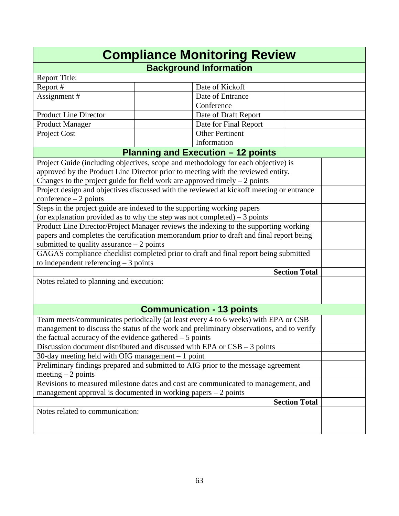| <b>Compliance Monitoring Review</b>                                                                                                     |                                                                                          |                      |  |  |  |
|-----------------------------------------------------------------------------------------------------------------------------------------|------------------------------------------------------------------------------------------|----------------------|--|--|--|
|                                                                                                                                         | <b>Background Information</b>                                                            |                      |  |  |  |
| Report Title:                                                                                                                           |                                                                                          |                      |  |  |  |
| Report #                                                                                                                                | Date of Kickoff                                                                          |                      |  |  |  |
| Assignment #                                                                                                                            | Date of Entrance                                                                         |                      |  |  |  |
|                                                                                                                                         | Conference                                                                               |                      |  |  |  |
| <b>Product Line Director</b>                                                                                                            | Date of Draft Report                                                                     |                      |  |  |  |
| Product Manager                                                                                                                         | Date for Final Report                                                                    |                      |  |  |  |
| Project Cost                                                                                                                            | <b>Other Pertinent</b>                                                                   |                      |  |  |  |
|                                                                                                                                         | Information                                                                              |                      |  |  |  |
|                                                                                                                                         | <b>Planning and Execution - 12 points</b>                                                |                      |  |  |  |
|                                                                                                                                         | Project Guide (including objectives, scope and methodology for each objective) is        |                      |  |  |  |
|                                                                                                                                         | approved by the Product Line Director prior to meeting with the reviewed entity.         |                      |  |  |  |
|                                                                                                                                         | Changes to the project guide for field work are approved timely $-2$ points              |                      |  |  |  |
|                                                                                                                                         | Project design and objectives discussed with the reviewed at kickoff meeting or entrance |                      |  |  |  |
| $conference - 2 points$                                                                                                                 |                                                                                          |                      |  |  |  |
|                                                                                                                                         | Steps in the project guide are indexed to the supporting working papers                  |                      |  |  |  |
|                                                                                                                                         | (or explanation provided as to why the step was not completed) $-3$ points               |                      |  |  |  |
|                                                                                                                                         | Product Line Director/Project Manager reviews the indexing to the supporting working     |                      |  |  |  |
|                                                                                                                                         | papers and completes the certification memorandum prior to draft and final report being  |                      |  |  |  |
| submitted to quality assurance $-2$ points                                                                                              |                                                                                          |                      |  |  |  |
|                                                                                                                                         | GAGAS compliance checklist completed prior to draft and final report being submitted     |                      |  |  |  |
| to independent referencing $-3$ points                                                                                                  |                                                                                          |                      |  |  |  |
| <b>Section Total</b>                                                                                                                    |                                                                                          |                      |  |  |  |
| Notes related to planning and execution:                                                                                                |                                                                                          |                      |  |  |  |
|                                                                                                                                         |                                                                                          |                      |  |  |  |
|                                                                                                                                         | <b>Communication - 13 points</b>                                                         |                      |  |  |  |
|                                                                                                                                         | Team meets/communicates periodically (at least every 4 to 6 weeks) with EPA or CSB       |                      |  |  |  |
|                                                                                                                                         | management to discuss the status of the work and preliminary observations, and to verify |                      |  |  |  |
| the factual accuracy of the evidence gathered $-5$ points                                                                               |                                                                                          |                      |  |  |  |
|                                                                                                                                         | Discussion document distributed and discussed with EPA or $CSB - 3$ points               |                      |  |  |  |
|                                                                                                                                         |                                                                                          |                      |  |  |  |
| 30-day meeting held with OIG management $-1$ point<br>Preliminary findings prepared and submitted to AIG prior to the message agreement |                                                                                          |                      |  |  |  |
| meeting $-2$ points                                                                                                                     |                                                                                          |                      |  |  |  |
|                                                                                                                                         | Revisions to measured milestone dates and cost are communicated to management, and       |                      |  |  |  |
|                                                                                                                                         | management approval is documented in working papers $-2$ points                          |                      |  |  |  |
|                                                                                                                                         |                                                                                          | <b>Section Total</b> |  |  |  |
| Notes related to communication:                                                                                                         |                                                                                          |                      |  |  |  |
|                                                                                                                                         |                                                                                          |                      |  |  |  |
|                                                                                                                                         |                                                                                          |                      |  |  |  |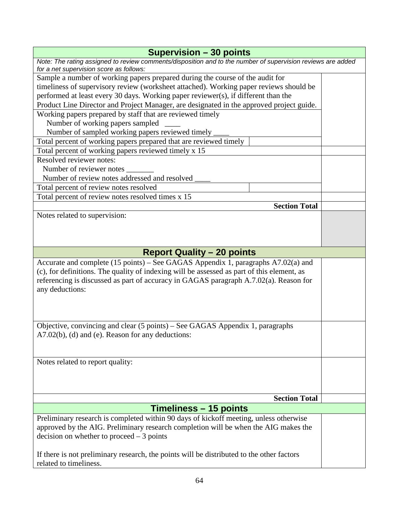| <b>Supervision - 30 points</b>                                                                                                                         |  |  |  |
|--------------------------------------------------------------------------------------------------------------------------------------------------------|--|--|--|
| Note: The rating assigned to review comments/disposition and to the number of supervision reviews are added<br>for a net supervision score as follows: |  |  |  |
| Sample a number of working papers prepared during the course of the audit for                                                                          |  |  |  |
| timeliness of supervisory review (worksheet attached). Working paper reviews should be                                                                 |  |  |  |
| performed at least every 30 days. Working paper reviewer(s), if different than the                                                                     |  |  |  |
| Product Line Director and Project Manager, are designated in the approved project guide.                                                               |  |  |  |
| Working papers prepared by staff that are reviewed timely                                                                                              |  |  |  |
| Number of working papers sampled                                                                                                                       |  |  |  |
| Number of sampled working papers reviewed timely                                                                                                       |  |  |  |
| Total percent of working papers prepared that are reviewed timely                                                                                      |  |  |  |
| Total percent of working papers reviewed timely x 15                                                                                                   |  |  |  |
| Resolved reviewer notes:                                                                                                                               |  |  |  |
| Number of reviewer notes                                                                                                                               |  |  |  |
| Number of review notes addressed and resolved                                                                                                          |  |  |  |
| Total percent of review notes resolved                                                                                                                 |  |  |  |
| Total percent of review notes resolved times x 15                                                                                                      |  |  |  |
| <b>Section Total</b>                                                                                                                                   |  |  |  |
| Notes related to supervision:                                                                                                                          |  |  |  |
|                                                                                                                                                        |  |  |  |
|                                                                                                                                                        |  |  |  |
|                                                                                                                                                        |  |  |  |
| <b>Report Quality - 20 points</b>                                                                                                                      |  |  |  |
| Accurate and complete (15 points) – See GAGAS Appendix 1, paragraphs A7.02(a) and                                                                      |  |  |  |
|                                                                                                                                                        |  |  |  |
| (c), for definitions. The quality of indexing will be assessed as part of this element, as                                                             |  |  |  |
| referencing is discussed as part of accuracy in GAGAS paragraph A.7.02(a). Reason for                                                                  |  |  |  |
| any deductions:                                                                                                                                        |  |  |  |
|                                                                                                                                                        |  |  |  |
|                                                                                                                                                        |  |  |  |
|                                                                                                                                                        |  |  |  |
| Objective, convincing and clear (5 points) – See GAGAS Appendix 1, paragraphs                                                                          |  |  |  |
| A7.02(b), (d) and (e). Reason for any deductions:                                                                                                      |  |  |  |
|                                                                                                                                                        |  |  |  |
|                                                                                                                                                        |  |  |  |
| Notes related to report quality:                                                                                                                       |  |  |  |
|                                                                                                                                                        |  |  |  |
|                                                                                                                                                        |  |  |  |
|                                                                                                                                                        |  |  |  |
| <b>Section Total</b>                                                                                                                                   |  |  |  |
| Timeliness - 15 points                                                                                                                                 |  |  |  |
| Preliminary research is completed within 90 days of kickoff meeting, unless otherwise                                                                  |  |  |  |
| approved by the AIG. Preliminary research completion will be when the AIG makes the                                                                    |  |  |  |
| decision on whether to proceed $-3$ points                                                                                                             |  |  |  |
|                                                                                                                                                        |  |  |  |
| If there is not preliminary research, the points will be distributed to the other factors                                                              |  |  |  |
| related to timeliness.                                                                                                                                 |  |  |  |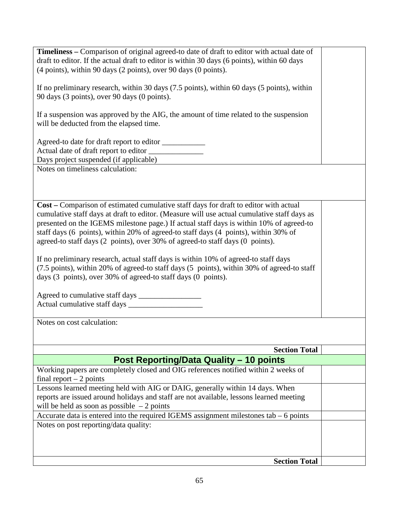| Timeliness - Comparison of original agreed-to date of draft to editor with actual date of   |
|---------------------------------------------------------------------------------------------|
| draft to editor. If the actual draft to editor is within 30 days (6 points), within 60 days |
| (4 points), within 90 days (2 points), over 90 days (0 points).                             |
|                                                                                             |
| If no preliminary research, within 30 days (7.5 points), within 60 days (5 points), within  |
|                                                                                             |
| 90 days (3 points), over 90 days (0 points).                                                |
|                                                                                             |
| If a suspension was approved by the AIG, the amount of time related to the suspension       |
| will be deducted from the elapsed time.                                                     |
|                                                                                             |
| Agreed-to date for draft report to editor ___________                                       |
| Actual date of draft report to editor ______________                                        |
|                                                                                             |
| Days project suspended (if applicable)                                                      |
| Notes on timeliness calculation:                                                            |
|                                                                                             |
|                                                                                             |
|                                                                                             |
| Cost – Comparison of estimated cumulative staff days for draft to editor with actual        |
| cumulative staff days at draft to editor. (Measure will use actual cumulative staff days as |
| presented on the IGEMS milestone page.) If actual staff days is within 10% of agreed-to     |
|                                                                                             |
| staff days (6 points), within 20% of agreed-to staff days (4 points), within 30% of         |
| agreed-to staff days (2 points), over 30% of agreed-to staff days (0 points).               |
|                                                                                             |
| If no preliminary research, actual staff days is within 10% of agreed-to staff days         |
| (7.5 points), within 20% of agreed-to staff days (5 points), within 30% of agreed-to staff  |
| days (3 points), over 30% of agreed-to staff days (0 points).                               |
|                                                                                             |
|                                                                                             |
|                                                                                             |
|                                                                                             |
|                                                                                             |
| Notes on cost calculation:                                                                  |
|                                                                                             |
|                                                                                             |
| <b>Section Total</b>                                                                        |
| <b>Post Reporting/Data Quality - 10 points</b>                                              |
|                                                                                             |
| Working papers are completely closed and OIG references notified within 2 weeks of          |
| final report $-2$ points                                                                    |
| Lessons learned meeting held with AIG or DAIG, generally within 14 days. When               |
| reports are issued around holidays and staff are not available, lessons learned meeting     |
| will be held as soon as possible $-2$ points                                                |
| Accurate data is entered into the required IGEMS assignment milestones tab $-6$ points      |
|                                                                                             |
| Notes on post reporting/data quality:                                                       |
|                                                                                             |
|                                                                                             |
|                                                                                             |
| <b>Section Total</b>                                                                        |